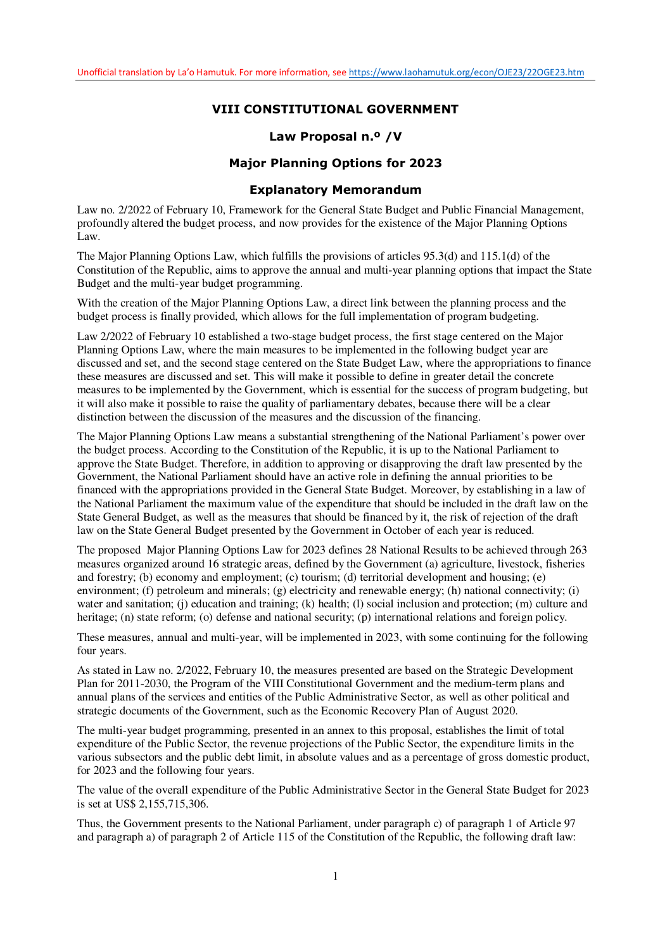## **VIII CONSTITUTIONAL GOVERNMENT**

## **Law Proposal n.º /V**

## **Major Planning Options for 2023**

### **Explanatory Memorandum**

Law no. 2/2022 of February 10, Framework for the General State Budget and Public Financial Management, profoundly altered the budget process, and now provides for the existence of the Major Planning Options Law.

The Major Planning Options Law, which fulfills the provisions of articles 95.3(d) and 115.1(d) of the Constitution of the Republic, aims to approve the annual and multi-year planning options that impact the State Budget and the multi-year budget programming.

With the creation of the Major Planning Options Law, a direct link between the planning process and the budget process is finally provided, which allows for the full implementation of program budgeting.

Law 2/2022 of February 10 established a two-stage budget process, the first stage centered on the Major Planning Options Law, where the main measures to be implemented in the following budget year are discussed and set, and the second stage centered on the State Budget Law, where the appropriations to finance these measures are discussed and set. This will make it possible to define in greater detail the concrete measures to be implemented by the Government, which is essential for the success of program budgeting, but it will also make it possible to raise the quality of parliamentary debates, because there will be a clear distinction between the discussion of the measures and the discussion of the financing.

The Major Planning Options Law means a substantial strengthening of the National Parliament's power over the budget process. According to the Constitution of the Republic, it is up to the National Parliament to approve the State Budget. Therefore, in addition to approving or disapproving the draft law presented by the Government, the National Parliament should have an active role in defining the annual priorities to be financed with the appropriations provided in the General State Budget. Moreover, by establishing in a law of the National Parliament the maximum value of the expenditure that should be included in the draft law on the State General Budget, as well as the measures that should be financed by it, the risk of rejection of the draft law on the State General Budget presented by the Government in October of each year is reduced.

The proposed Major Planning Options Law for 2023 defines 28 National Results to be achieved through 263 measures organized around 16 strategic areas, defined by the Government (a) agriculture, livestock, fisheries and forestry; (b) economy and employment; (c) tourism; (d) territorial development and housing; (e) environment; (f) petroleum and minerals; (g) electricity and renewable energy; (h) national connectivity; (i) water and sanitation; (j) education and training; (k) health; (l) social inclusion and protection; (m) culture and heritage; (n) state reform; (o) defense and national security; (p) international relations and foreign policy.

These measures, annual and multi-year, will be implemented in 2023, with some continuing for the following four years.

As stated in Law no. 2/2022, February 10, the measures presented are based on the Strategic Development Plan for 2011-2030, the Program of the VIII Constitutional Government and the medium-term plans and annual plans of the services and entities of the Public Administrative Sector, as well as other political and strategic documents of the Government, such as the Economic Recovery Plan of August 2020.

The multi-year budget programming, presented in an annex to this proposal, establishes the limit of total expenditure of the Public Sector, the revenue projections of the Public Sector, the expenditure limits in the various subsectors and the public debt limit, in absolute values and as a percentage of gross domestic product, for 2023 and the following four years.

The value of the overall expenditure of the Public Administrative Sector in the General State Budget for 2023 is set at US\$ 2,155,715,306.

Thus, the Government presents to the National Parliament, under paragraph c) of paragraph 1 of Article 97 and paragraph a) of paragraph 2 of Article 115 of the Constitution of the Republic, the following draft law: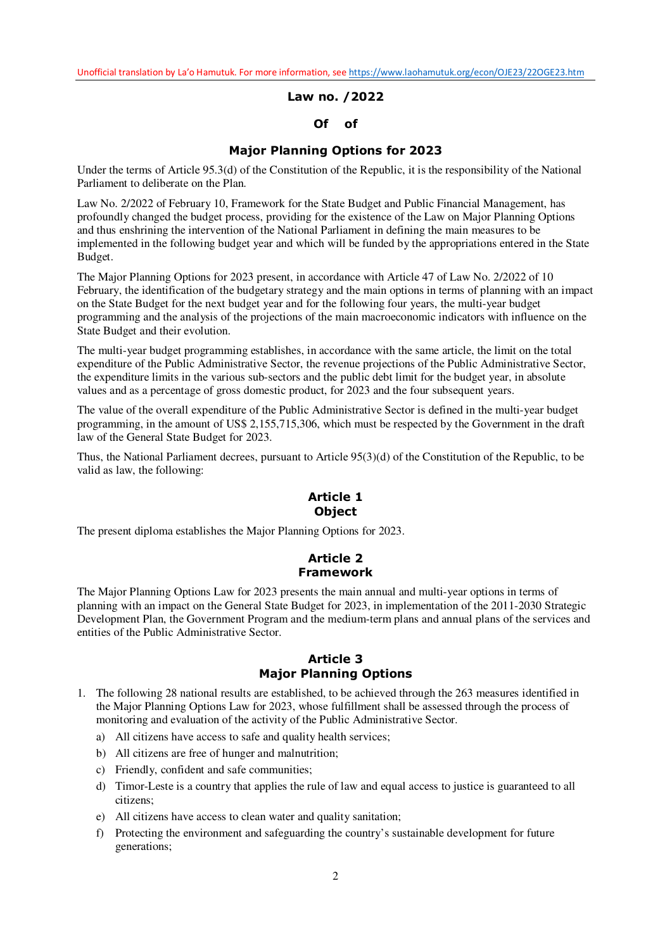**Law no. /2022** 

## **Of of**

## **Major Planning Options for 2023**

Under the terms of Article 95.3(d) of the Constitution of the Republic, it is the responsibility of the National Parliament to deliberate on the Plan.

Law No. 2/2022 of February 10, Framework for the State Budget and Public Financial Management, has profoundly changed the budget process, providing for the existence of the Law on Major Planning Options and thus enshrining the intervention of the National Parliament in defining the main measures to be implemented in the following budget year and which will be funded by the appropriations entered in the State Budget.

The Major Planning Options for 2023 present, in accordance with Article 47 of Law No. 2/2022 of 10 February, the identification of the budgetary strategy and the main options in terms of planning with an impact on the State Budget for the next budget year and for the following four years, the multi-year budget programming and the analysis of the projections of the main macroeconomic indicators with influence on the State Budget and their evolution.

The multi-year budget programming establishes, in accordance with the same article, the limit on the total expenditure of the Public Administrative Sector, the revenue projections of the Public Administrative Sector, the expenditure limits in the various sub-sectors and the public debt limit for the budget year, in absolute values and as a percentage of gross domestic product, for 2023 and the four subsequent years.

The value of the overall expenditure of the Public Administrative Sector is defined in the multi-year budget programming, in the amount of US\$ 2,155,715,306, which must be respected by the Government in the draft law of the General State Budget for 2023.

Thus, the National Parliament decrees, pursuant to Article 95(3)(d) of the Constitution of the Republic, to be valid as law, the following:

## **Article 1 Object**

The present diploma establishes the Major Planning Options for 2023.

# **Article 2 Framework**

The Major Planning Options Law for 2023 presents the main annual and multi-year options in terms of planning with an impact on the General State Budget for 2023, in implementation of the 2011-2030 Strategic Development Plan, the Government Program and the medium-term plans and annual plans of the services and entities of the Public Administrative Sector.

## **Article 3 Major Planning Options**

- 1. The following 28 national results are established, to be achieved through the 263 measures identified in the Major Planning Options Law for 2023, whose fulfillment shall be assessed through the process of monitoring and evaluation of the activity of the Public Administrative Sector.
	- a) All citizens have access to safe and quality health services;
	- b) All citizens are free of hunger and malnutrition;
	- c) Friendly, confident and safe communities;
	- d) Timor-Leste is a country that applies the rule of law and equal access to justice is guaranteed to all citizens;
	- e) All citizens have access to clean water and quality sanitation;
	- f) Protecting the environment and safeguarding the country's sustainable development for future generations;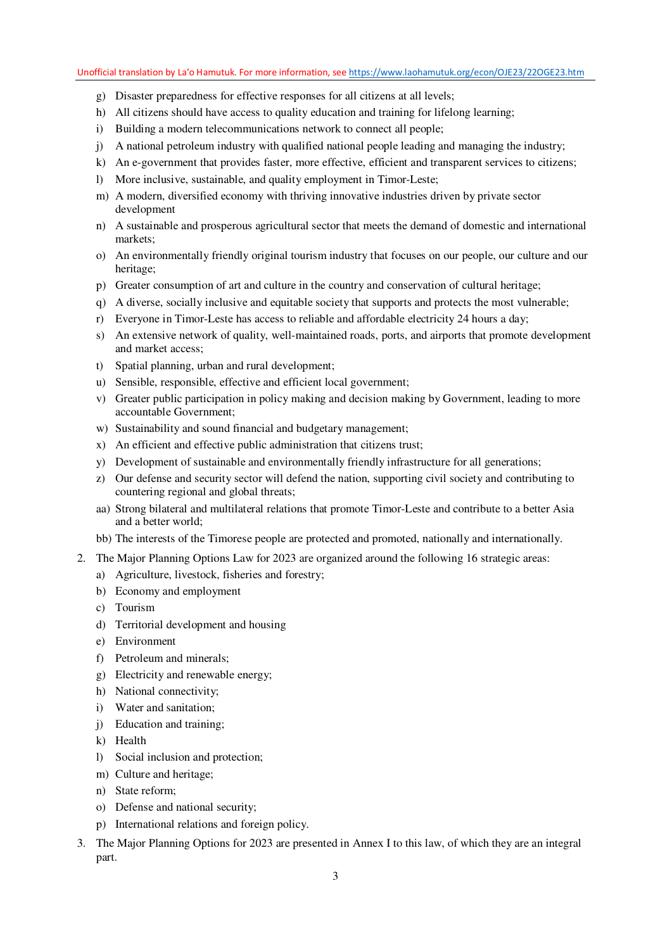- g) Disaster preparedness for effective responses for all citizens at all levels;
- h) All citizens should have access to quality education and training for lifelong learning;
- i) Building a modern telecommunications network to connect all people;
- j) A national petroleum industry with qualified national people leading and managing the industry;
- k) An e-government that provides faster, more effective, efficient and transparent services to citizens;
- l) More inclusive, sustainable, and quality employment in Timor-Leste;
- m) A modern, diversified economy with thriving innovative industries driven by private sector development
- n) A sustainable and prosperous agricultural sector that meets the demand of domestic and international markets;
- o) An environmentally friendly original tourism industry that focuses on our people, our culture and our heritage;
- p) Greater consumption of art and culture in the country and conservation of cultural heritage;
- q) A diverse, socially inclusive and equitable society that supports and protects the most vulnerable;
- r) Everyone in Timor-Leste has access to reliable and affordable electricity 24 hours a day;
- s) An extensive network of quality, well-maintained roads, ports, and airports that promote development and market access;
- t) Spatial planning, urban and rural development;
- u) Sensible, responsible, effective and efficient local government;
- v) Greater public participation in policy making and decision making by Government, leading to more accountable Government;
- w) Sustainability and sound financial and budgetary management;
- x) An efficient and effective public administration that citizens trust;
- y) Development of sustainable and environmentally friendly infrastructure for all generations;
- z) Our defense and security sector will defend the nation, supporting civil society and contributing to countering regional and global threats;
- aa) Strong bilateral and multilateral relations that promote Timor-Leste and contribute to a better Asia and a better world;
- bb) The interests of the Timorese people are protected and promoted, nationally and internationally.
- 2. The Major Planning Options Law for 2023 are organized around the following 16 strategic areas:
	- a) Agriculture, livestock, fisheries and forestry;
	- b) Economy and employment
	- c) Tourism
	- d) Territorial development and housing
	- e) Environment
	- f) Petroleum and minerals;
	- g) Electricity and renewable energy;
	- h) National connectivity;
	- i) Water and sanitation;
	- j) Education and training;
	- k) Health
	- l) Social inclusion and protection;
	- m) Culture and heritage;
	- n) State reform;
	- o) Defense and national security;
	- p) International relations and foreign policy.
- 3. The Major Planning Options for 2023 are presented in Annex I to this law, of which they are an integral part.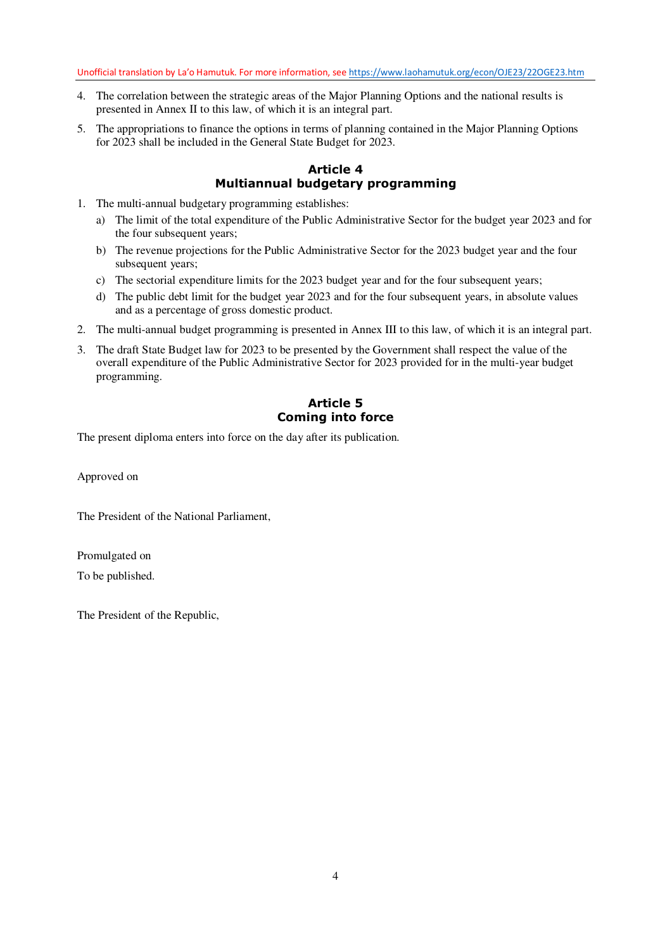- 4. The correlation between the strategic areas of the Major Planning Options and the national results is presented in Annex II to this law, of which it is an integral part.
- 5. The appropriations to finance the options in terms of planning contained in the Major Planning Options for 2023 shall be included in the General State Budget for 2023.

## **Article 4 Multiannual budgetary programming**

- 1. The multi-annual budgetary programming establishes:
	- a) The limit of the total expenditure of the Public Administrative Sector for the budget year 2023 and for the four subsequent years;
	- b) The revenue projections for the Public Administrative Sector for the 2023 budget year and the four subsequent years;
	- c) The sectorial expenditure limits for the 2023 budget year and for the four subsequent years;
	- d) The public debt limit for the budget year 2023 and for the four subsequent years, in absolute values and as a percentage of gross domestic product.
- 2. The multi-annual budget programming is presented in Annex III to this law, of which it is an integral part.
- 3. The draft State Budget law for 2023 to be presented by the Government shall respect the value of the overall expenditure of the Public Administrative Sector for 2023 provided for in the multi-year budget programming.

# **Article 5 Coming into force**

The present diploma enters into force on the day after its publication.

Approved on

The President of the National Parliament,

Promulgated on To be published.

The President of the Republic,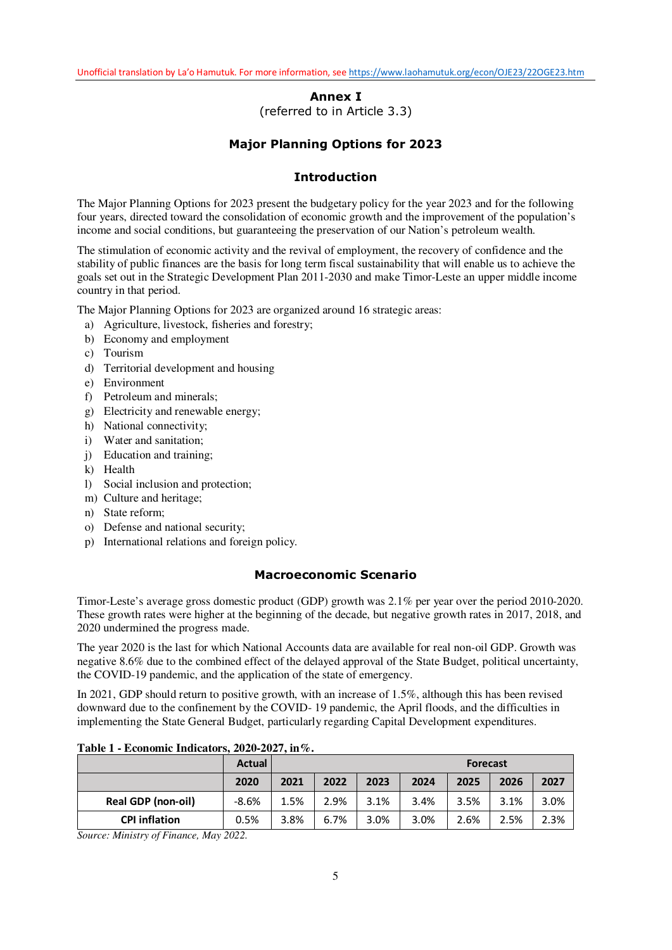# **Annex I**  (referred to in Article 3.3)

# **Major Planning Options for 2023**

## **Introduction**

The Major Planning Options for 2023 present the budgetary policy for the year 2023 and for the following four years, directed toward the consolidation of economic growth and the improvement of the population's income and social conditions, but guaranteeing the preservation of our Nation's petroleum wealth.

The stimulation of economic activity and the revival of employment, the recovery of confidence and the stability of public finances are the basis for long term fiscal sustainability that will enable us to achieve the goals set out in the Strategic Development Plan 2011-2030 and make Timor-Leste an upper middle income country in that period.

The Major Planning Options for 2023 are organized around 16 strategic areas:

- a) Agriculture, livestock, fisheries and forestry;
- b) Economy and employment
- c) Tourism
- d) Territorial development and housing
- e) Environment
- f) Petroleum and minerals;
- g) Electricity and renewable energy;
- h) National connectivity;
- i) Water and sanitation;
- j) Education and training;
- k) Health
- l) Social inclusion and protection;
- m) Culture and heritage;
- n) State reform;
- o) Defense and national security;
- p) International relations and foreign policy.

## **Macroeconomic Scenario**

Timor-Leste's average gross domestic product (GDP) growth was 2.1% per year over the period 2010-2020. These growth rates were higher at the beginning of the decade, but negative growth rates in 2017, 2018, and 2020 undermined the progress made.

The year 2020 is the last for which National Accounts data are available for real non-oil GDP. Growth was negative 8.6% due to the combined effect of the delayed approval of the State Budget, political uncertainty, the COVID-19 pandemic, and the application of the state of emergency.

In 2021, GDP should return to positive growth, with an increase of 1.5%, although this has been revised downward due to the confinement by the COVID- 19 pandemic, the April floods, and the difficulties in implementing the State General Budget, particularly regarding Capital Development expenditures.

|                      | <b>Actual</b> | <b>Forecast</b> |      |      |      |      |      |      |
|----------------------|---------------|-----------------|------|------|------|------|------|------|
|                      | 2020          | 2021            | 2022 | 2023 | 2024 | 2025 | 2026 | 2027 |
| Real GDP (non-oil)   | $-8.6%$       | 1.5%            | 2.9% | 3.1% | 3.4% | 3.5% | 3.1% | 3.0% |
| <b>CPI inflation</b> | 0.5%          | 3.8%            | 6.7% | 3.0% | 3.0% | 2.6% | 2.5% | 2.3% |

## **Table 1 - Economic Indicators, 2020-2027, in%.**

*Source: Ministry of Finance, May 2022.*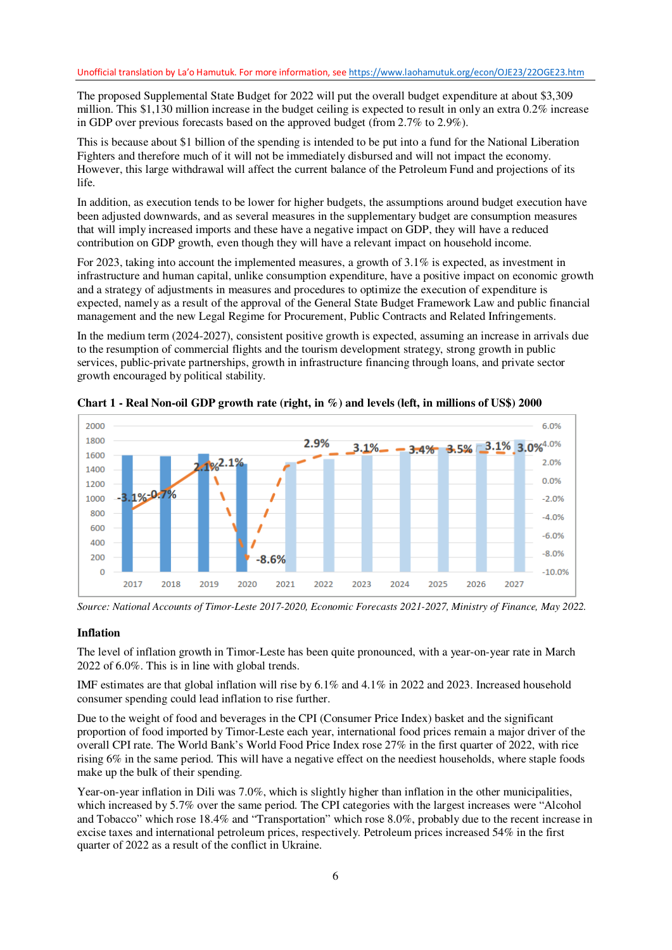The proposed Supplemental State Budget for 2022 will put the overall budget expenditure at about \$3,309 million. This \$1,130 million increase in the budget ceiling is expected to result in only an extra 0.2% increase in GDP over previous forecasts based on the approved budget (from 2.7% to 2.9%).

This is because about \$1 billion of the spending is intended to be put into a fund for the National Liberation Fighters and therefore much of it will not be immediately disbursed and will not impact the economy. However, this large withdrawal will affect the current balance of the Petroleum Fund and projections of its life.

In addition, as execution tends to be lower for higher budgets, the assumptions around budget execution have been adjusted downwards, and as several measures in the supplementary budget are consumption measures that will imply increased imports and these have a negative impact on GDP, they will have a reduced contribution on GDP growth, even though they will have a relevant impact on household income.

For 2023, taking into account the implemented measures, a growth of 3.1% is expected, as investment in infrastructure and human capital, unlike consumption expenditure, have a positive impact on economic growth and a strategy of adjustments in measures and procedures to optimize the execution of expenditure is expected, namely as a result of the approval of the General State Budget Framework Law and public financial management and the new Legal Regime for Procurement, Public Contracts and Related Infringements.

In the medium term (2024-2027), consistent positive growth is expected, assuming an increase in arrivals due to the resumption of commercial flights and the tourism development strategy, strong growth in public services, public-private partnerships, growth in infrastructure financing through loans, and private sector growth encouraged by political stability.



**Chart 1 - Real Non-oil GDP growth rate (right, in %) and levels (left, in millions of US\$) 2000** 

*Source: National Accounts of Timor-Leste 2017-2020, Economic Forecasts 2021-2027, Ministry of Finance, May 2022.* 

### **Inflation**

The level of inflation growth in Timor-Leste has been quite pronounced, with a year-on-year rate in March 2022 of 6.0%. This is in line with global trends.

IMF estimates are that global inflation will rise by 6.1% and 4.1% in 2022 and 2023. Increased household consumer spending could lead inflation to rise further.

Due to the weight of food and beverages in the CPI (Consumer Price Index) basket and the significant proportion of food imported by Timor-Leste each year, international food prices remain a major driver of the overall CPI rate. The World Bank's World Food Price Index rose 27% in the first quarter of 2022, with rice rising 6% in the same period. This will have a negative effect on the neediest households, where staple foods make up the bulk of their spending.

Year-on-year inflation in Dili was 7.0%, which is slightly higher than inflation in the other municipalities, which increased by 5.7% over the same period. The CPI categories with the largest increases were "Alcohol" and Tobacco" which rose 18.4% and "Transportation" which rose 8.0%, probably due to the recent increase in excise taxes and international petroleum prices, respectively. Petroleum prices increased 54% in the first quarter of 2022 as a result of the conflict in Ukraine.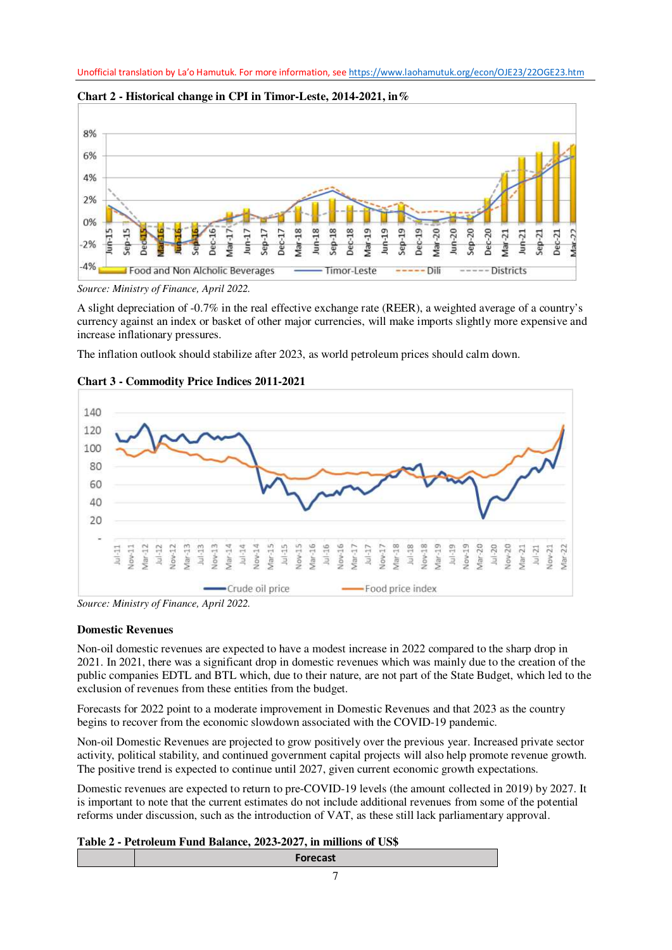



A slight depreciation of -0.7% in the real effective exchange rate (REER), a weighted average of a country's currency against an index or basket of other major currencies, will make imports slightly more expensive and increase inflationary pressures.

The inflation outlook should stabilize after 2023, as world petroleum prices should calm down.



## **Chart 3 - Commodity Price Indices 2011-2021**

*Source: Ministry of Finance, April 2022.* 

## **Domestic Revenues**

Non-oil domestic revenues are expected to have a modest increase in 2022 compared to the sharp drop in 2021. In 2021, there was a significant drop in domestic revenues which was mainly due to the creation of the public companies EDTL and BTL which, due to their nature, are not part of the State Budget, which led to the exclusion of revenues from these entities from the budget.

Forecasts for 2022 point to a moderate improvement in Domestic Revenues and that 2023 as the country begins to recover from the economic slowdown associated with the COVID-19 pandemic.

Non-oil Domestic Revenues are projected to grow positively over the previous year. Increased private sector activity, political stability, and continued government capital projects will also help promote revenue growth. The positive trend is expected to continue until 2027, given current economic growth expectations.

Domestic revenues are expected to return to pre-COVID-19 levels (the amount collected in 2019) by 2027. It is important to note that the current estimates do not include additional revenues from some of the potential reforms under discussion, such as the introduction of VAT, as these still lack parliamentary approval.

## **Table 2 - Petroleum Fund Balance, 2023-2027, in millions of US\$**

| Forecast |  |
|----------|--|
|          |  |

*Source: Ministry of Finance, April 2022.*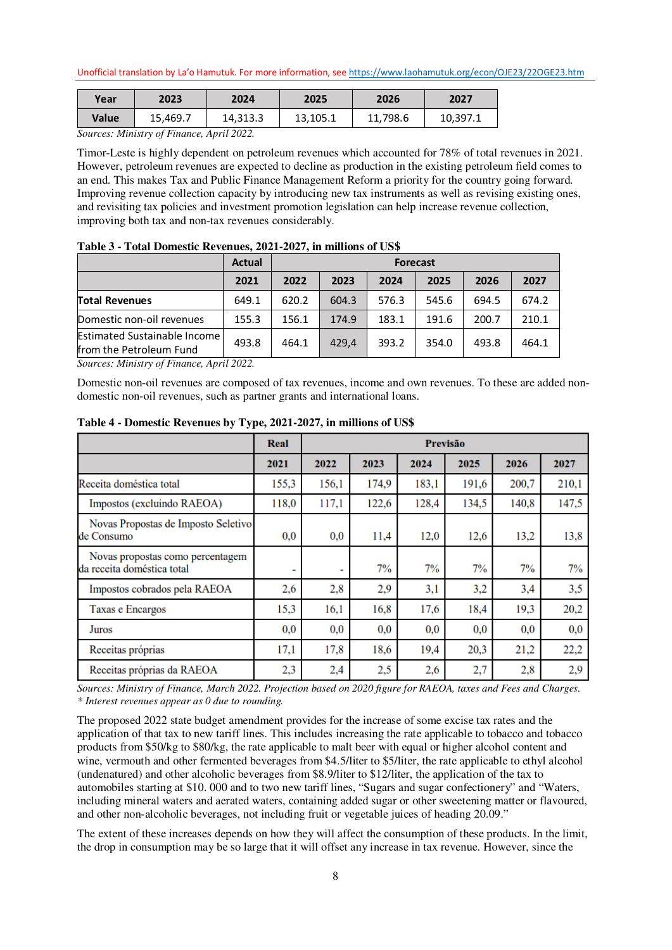| Year   | 2023                        | 2024            | 2025     | 2026     | 2027     |
|--------|-----------------------------|-----------------|----------|----------|----------|
| Value  | 15.469.7                    | 14,313.3        | 13,105.1 | 11,798.6 | 10,397.1 |
| $\sim$ | $\mathcal{L}$ $\mathcal{L}$ | $\cdots$ $\sim$ |          |          |          |

*Sources: Ministry of Finance, April 2022.* 

Timor-Leste is highly dependent on petroleum revenues which accounted for 78% of total revenues in 2021. However, petroleum revenues are expected to decline as production in the existing petroleum field comes to an end. This makes Tax and Public Finance Management Reform a priority for the country going forward. Improving revenue collection capacity by introducing new tax instruments as well as revising existing ones, and revisiting tax policies and investment promotion legislation can help increase revenue collection, improving both tax and non-tax revenues considerably.

|                                                                | <b>Actual</b> |       | <b>Forecast</b> |       |       |       |       |
|----------------------------------------------------------------|---------------|-------|-----------------|-------|-------|-------|-------|
|                                                                | 2021          | 2022  | 2023            | 2024  | 2025  | 2026  | 2027  |
| <b>Total Revenues</b>                                          | 649.1         | 620.2 | 604.3           | 576.3 | 545.6 | 694.5 | 674.2 |
| Domestic non-oil revenues                                      | 155.3         | 156.1 | 174.9           | 183.1 | 191.6 | 200.7 | 210.1 |
| <b>Estimated Sustainable Income</b><br>from the Petroleum Fund | 493.8         | 464.1 | 429.4           | 393.2 | 354.0 | 493.8 | 464.1 |

| Table 3 - Total Domestic Revenues, 2021-2027, in millions of US\$ |  |  |
|-------------------------------------------------------------------|--|--|
|-------------------------------------------------------------------|--|--|

*Sources: Ministry of Finance, April 2022.* 

Domestic non-oil revenues are composed of tax revenues, income and own revenues. To these are added nondomestic non-oil revenues, such as partner grants and international loans.

|                                                                | Real  | <b>Previsão</b>          |       |       |       |       |       |
|----------------------------------------------------------------|-------|--------------------------|-------|-------|-------|-------|-------|
|                                                                | 2021  | 2022                     | 2023  | 2024  | 2025  | 2026  | 2027  |
| Receita doméstica total                                        | 155,3 | 156,1                    | 174,9 | 183,1 | 191,6 | 200,7 | 210,1 |
| Impostos (excluindo RAEOA)                                     | 118,0 | 117,1                    | 122,6 | 128,4 | 134,5 | 140,8 | 147,5 |
| Novas Propostas de Imposto Seletivo<br>de Consumo              | 0,0   | 0,0                      | 11,4  | 12,0  | 12,6  | 13,2  | 13,8  |
| Novas propostas como percentagem<br>da receita doméstica total | -     | $\overline{\phantom{0}}$ | 7%    | 7%    | 7%    | 7%    | 7%    |
| Impostos cobrados pela RAEOA                                   | 2,6   | 2,8                      | 2,9   | 3,1   | 3,2   | 3,4   | 3,5   |
| Taxas e Encargos                                               | 15,3  | 16,1                     | 16,8  | 17,6  | 18,4  | 19,3  | 20,2  |
| Juros                                                          | 0,0   | 0.0                      | 0.0   | 0.0   | 0,0   | 0,0   | 0,0   |
| Receitas próprias                                              | 17,1  | 17,8                     | 18,6  | 19,4  | 20,3  | 21,2  | 22,2  |
| Receitas próprias da RAEOA                                     | 2,3   | 2,4                      | 2,5   | 2,6   | 2,7   | 2,8   | 2,9   |

**Table 4 - Domestic Revenues by Type, 2021-2027, in millions of US\$** 

*Sources: Ministry of Finance, March 2022. Projection based on 2020 figure for RAEOA, taxes and Fees and Charges. \* Interest revenues appear as 0 due to rounding.* 

The proposed 2022 state budget amendment provides for the increase of some excise tax rates and the application of that tax to new tariff lines. This includes increasing the rate applicable to tobacco and tobacco products from \$50/kg to \$80/kg, the rate applicable to malt beer with equal or higher alcohol content and wine, vermouth and other fermented beverages from \$4.5/liter to \$5/liter, the rate applicable to ethyl alcohol (undenatured) and other alcoholic beverages from \$8.9/liter to \$12/liter, the application of the tax to automobiles starting at \$10. 000 and to two new tariff lines, "Sugars and sugar confectionery" and "Waters, including mineral waters and aerated waters, containing added sugar or other sweetening matter or flavoured, and other non-alcoholic beverages, not including fruit or vegetable juices of heading 20.09."

The extent of these increases depends on how they will affect the consumption of these products. In the limit, the drop in consumption may be so large that it will offset any increase in tax revenue. However, since the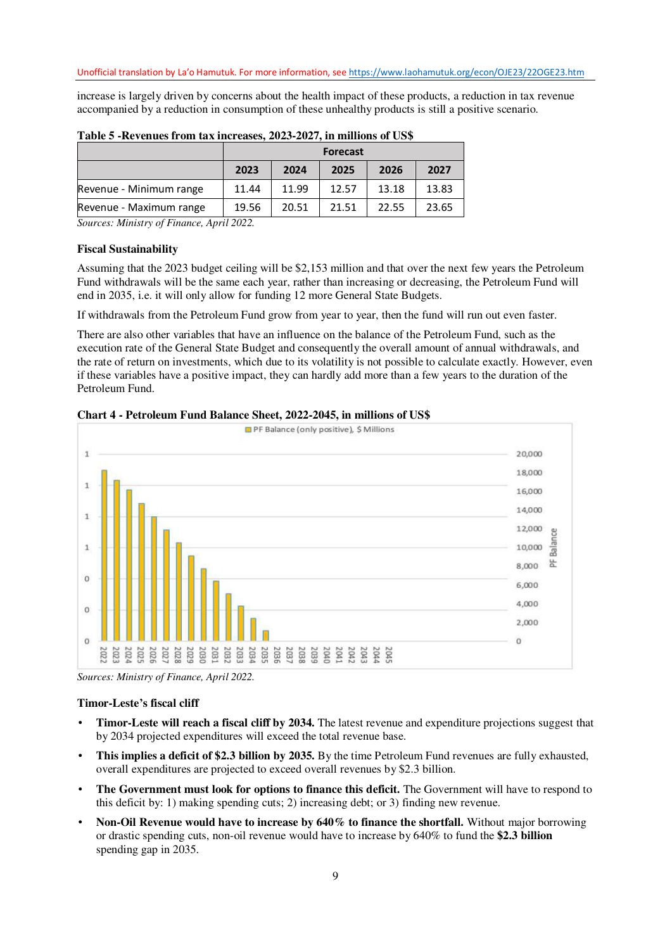increase is largely driven by concerns about the health impact of these products, a reduction in tax revenue accompanied by a reduction in consumption of these unhealthy products is still a positive scenario.

|                         | <b>Forecast</b> |       |       |       |       |  |
|-------------------------|-----------------|-------|-------|-------|-------|--|
|                         | 2023            | 2024  | 2025  | 2026  | 2027  |  |
| Revenue - Minimum range | 11.44           | 11.99 | 12.57 | 13.18 | 13.83 |  |
| Revenue - Maximum range | 19.56           | 20.51 | 21.51 | 22.55 | 23.65 |  |

| Table 5 - Revenues from tax increases, 2023-2027, in millions of US\$ |  |  |  |
|-----------------------------------------------------------------------|--|--|--|
|-----------------------------------------------------------------------|--|--|--|

*Sources: Ministry of Finance, April 2022.* 

#### **Fiscal Sustainability**

Assuming that the 2023 budget ceiling will be \$2,153 million and that over the next few years the Petroleum Fund withdrawals will be the same each year, rather than increasing or decreasing, the Petroleum Fund will end in 2035, i.e. it will only allow for funding 12 more General State Budgets.

If withdrawals from the Petroleum Fund grow from year to year, then the fund will run out even faster.

There are also other variables that have an influence on the balance of the Petroleum Fund, such as the execution rate of the General State Budget and consequently the overall amount of annual withdrawals, and the rate of return on investments, which due to its volatility is not possible to calculate exactly. However, even if these variables have a positive impact, they can hardly add more than a few years to the duration of the Petroleum Fund.





*Sources: Ministry of Finance, April 2022.* 

#### **Timor-Leste's fiscal cliff**

- **Timor-Leste will reach a fiscal cliff by 2034.** The latest revenue and expenditure projections suggest that by 2034 projected expenditures will exceed the total revenue base.
- **This implies a deficit of \$2.3 billion by 2035.** By the time Petroleum Fund revenues are fully exhausted, overall expenditures are projected to exceed overall revenues by \$2.3 billion.
- **The Government must look for options to finance this deficit.** The Government will have to respond to this deficit by: 1) making spending cuts; 2) increasing debt; or 3) finding new revenue.
- **Non-Oil Revenue would have to increase by 640% to finance the shortfall.** Without major borrowing or drastic spending cuts, non-oil revenue would have to increase by 640% to fund the **\$2.3 billion** spending gap in 2035.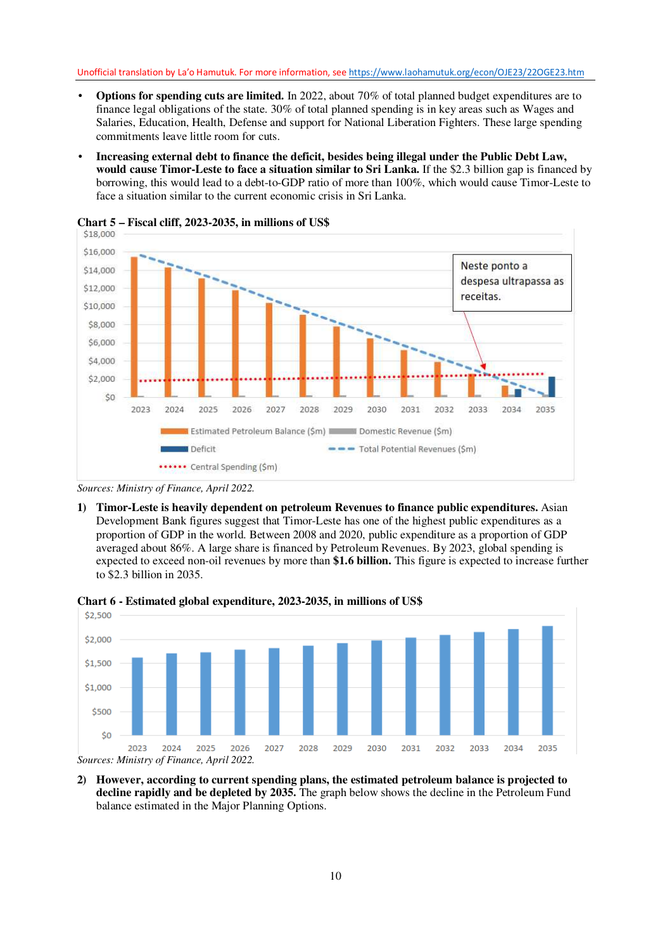- **Options for spending cuts are limited.** In 2022, about 70% of total planned budget expenditures are to finance legal obligations of the state. 30% of total planned spending is in key areas such as Wages and Salaries, Education, Health, Defense and support for National Liberation Fighters. These large spending commitments leave little room for cuts.
- **Increasing external debt to finance the deficit, besides being illegal under the Public Debt Law, would cause Timor-Leste to face a situation similar to Sri Lanka.** If the \$2.3 billion gap is financed by borrowing, this would lead to a debt-to-GDP ratio of more than 100%, which would cause Timor-Leste to face a situation similar to the current economic crisis in Sri Lanka.



**Chart 5 – Fiscal cliff, 2023-2035, in millions of US\$** 

**1) Timor-Leste is heavily dependent on petroleum Revenues to finance public expenditures.** Asian Development Bank figures suggest that Timor-Leste has one of the highest public expenditures as a proportion of GDP in the world. Between 2008 and 2020, public expenditure as a proportion of GDP averaged about 86%. A large share is financed by Petroleum Revenues. By 2023, global spending is expected to exceed non-oil revenues by more than **\$1.6 billion.** This figure is expected to increase further to \$2.3 billion in 2035.



**Chart 6 - Estimated global expenditure, 2023-2035, in millions of US\$** 

**2) However, according to current spending plans, the estimated petroleum balance is projected to decline rapidly and be depleted by 2035.** The graph below shows the decline in the Petroleum Fund balance estimated in the Major Planning Options.

*Sources: Ministry of Finance, April 2022.*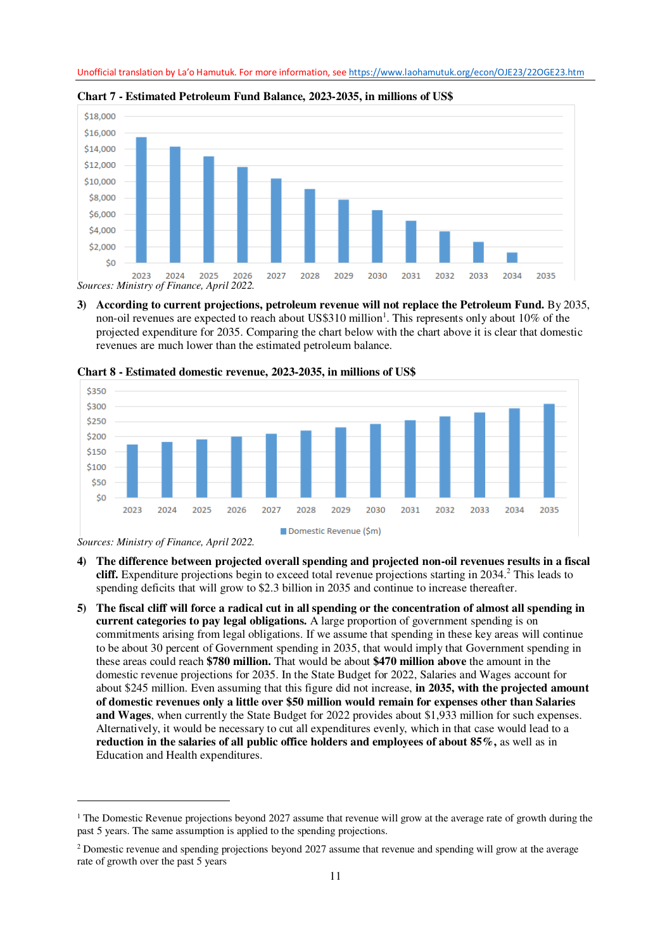

**Chart 7 - Estimated Petroleum Fund Balance, 2023-2035, in millions of US\$** 

**3) According to current projections, petroleum revenue will not replace the Petroleum Fund.** By 2035, non-oil revenues are expected to reach about US\$310 million<sup>1</sup>. This represents only about 10% of the projected expenditure for 2035. Comparing the chart below with the chart above it is clear that domestic revenues are much lower than the estimated petroleum balance.



**Chart 8 - Estimated domestic revenue, 2023-2035, in millions of US\$** 

*Sources: Ministry of Finance, April 2022.* 

 $\overline{a}$ 

- **4) The difference between projected overall spending and projected non-oil revenues results in a fiscal**  cliff. Expenditure projections begin to exceed total revenue projections starting in 2034.<sup>2</sup> This leads to spending deficits that will grow to \$2.3 billion in 2035 and continue to increase thereafter.
- **5) The fiscal cliff will force a radical cut in all spending or the concentration of almost all spending in current categories to pay legal obligations.** A large proportion of government spending is on commitments arising from legal obligations. If we assume that spending in these key areas will continue to be about 30 percent of Government spending in 2035, that would imply that Government spending in these areas could reach **\$780 million.** That would be about **\$470 million above** the amount in the domestic revenue projections for 2035. In the State Budget for 2022, Salaries and Wages account for about \$245 million. Even assuming that this figure did not increase, **in 2035, with the projected amount of domestic revenues only a little over \$50 million would remain for expenses other than Salaries and Wages**, when currently the State Budget for 2022 provides about \$1,933 million for such expenses. Alternatively, it would be necessary to cut all expenditures evenly, which in that case would lead to a **reduction in the salaries of all public office holders and employees of about 85%,** as well as in Education and Health expenditures.

<sup>1</sup> The Domestic Revenue projections beyond 2027 assume that revenue will grow at the average rate of growth during the past 5 years. The same assumption is applied to the spending projections.

<sup>&</sup>lt;sup>2</sup> Domestic revenue and spending projections beyond 2027 assume that revenue and spending will grow at the average rate of growth over the past 5 years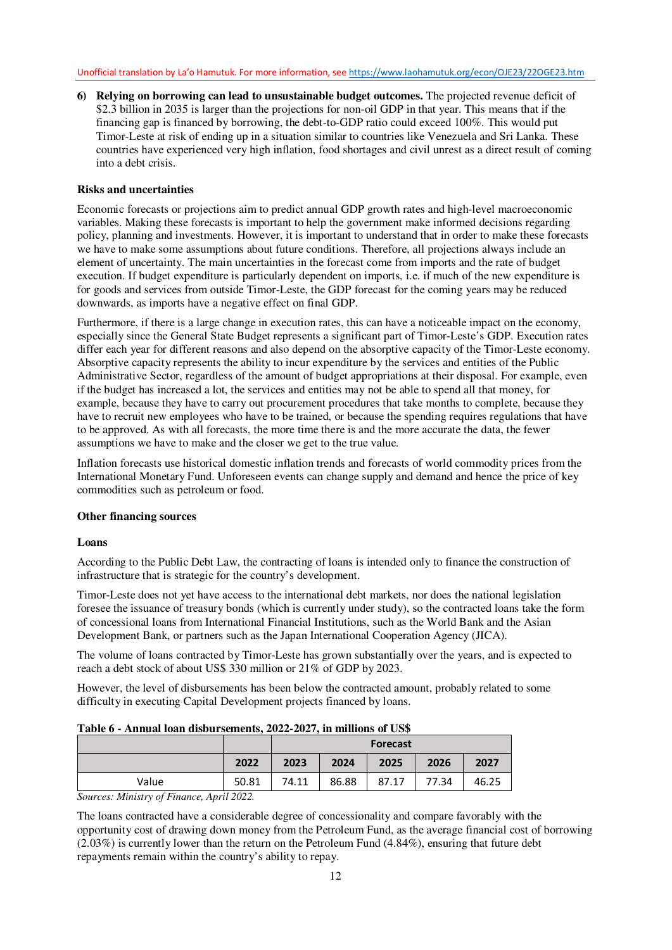**6) Relying on borrowing can lead to unsustainable budget outcomes.** The projected revenue deficit of \$2.3 billion in 2035 is larger than the projections for non-oil GDP in that year. This means that if the financing gap is financed by borrowing, the debt-to-GDP ratio could exceed 100%. This would put Timor-Leste at risk of ending up in a situation similar to countries like Venezuela and Sri Lanka. These countries have experienced very high inflation, food shortages and civil unrest as a direct result of coming into a debt crisis.

### **Risks and uncertainties**

Economic forecasts or projections aim to predict annual GDP growth rates and high-level macroeconomic variables. Making these forecasts is important to help the government make informed decisions regarding policy, planning and investments. However, it is important to understand that in order to make these forecasts we have to make some assumptions about future conditions. Therefore, all projections always include an element of uncertainty. The main uncertainties in the forecast come from imports and the rate of budget execution. If budget expenditure is particularly dependent on imports, i.e. if much of the new expenditure is for goods and services from outside Timor-Leste, the GDP forecast for the coming years may be reduced downwards, as imports have a negative effect on final GDP.

Furthermore, if there is a large change in execution rates, this can have a noticeable impact on the economy, especially since the General State Budget represents a significant part of Timor-Leste's GDP. Execution rates differ each year for different reasons and also depend on the absorptive capacity of the Timor-Leste economy. Absorptive capacity represents the ability to incur expenditure by the services and entities of the Public Administrative Sector, regardless of the amount of budget appropriations at their disposal. For example, even if the budget has increased a lot, the services and entities may not be able to spend all that money, for example, because they have to carry out procurement procedures that take months to complete, because they have to recruit new employees who have to be trained, or because the spending requires regulations that have to be approved. As with all forecasts, the more time there is and the more accurate the data, the fewer assumptions we have to make and the closer we get to the true value.

Inflation forecasts use historical domestic inflation trends and forecasts of world commodity prices from the International Monetary Fund. Unforeseen events can change supply and demand and hence the price of key commodities such as petroleum or food.

### **Other financing sources**

### **Loans**

According to the Public Debt Law, the contracting of loans is intended only to finance the construction of infrastructure that is strategic for the country's development.

Timor-Leste does not yet have access to the international debt markets, nor does the national legislation foresee the issuance of treasury bonds (which is currently under study), so the contracted loans take the form of concessional loans from International Financial Institutions, such as the World Bank and the Asian Development Bank, or partners such as the Japan International Cooperation Agency (JICA).

The volume of loans contracted by Timor-Leste has grown substantially over the years, and is expected to reach a debt stock of about US\$ 330 million or 21% of GDP by 2023.

However, the level of disbursements has been below the contracted amount, probably related to some difficulty in executing Capital Development projects financed by loans.

Value 19 10.81 74.11 86.88 87.17 77.34 46.25

|  |      | <b>Forecast</b> |      |      |      |      |  |  |  |
|--|------|-----------------|------|------|------|------|--|--|--|
|  | 2022 | 2023            | 2024 | 2025 | 2026 | 2027 |  |  |  |

# **Table 6 - Annual loan disbursements, 2022-2027, in millions of US\$**

*Sources: Ministry of Finance, April 2022.* 

The loans contracted have a considerable degree of concessionality and compare favorably with the opportunity cost of drawing down money from the Petroleum Fund, as the average financial cost of borrowing  $(2.03\%)$  is currently lower than the return on the Petroleum Fund  $(4.84\%)$ , ensuring that future debt repayments remain within the country's ability to repay.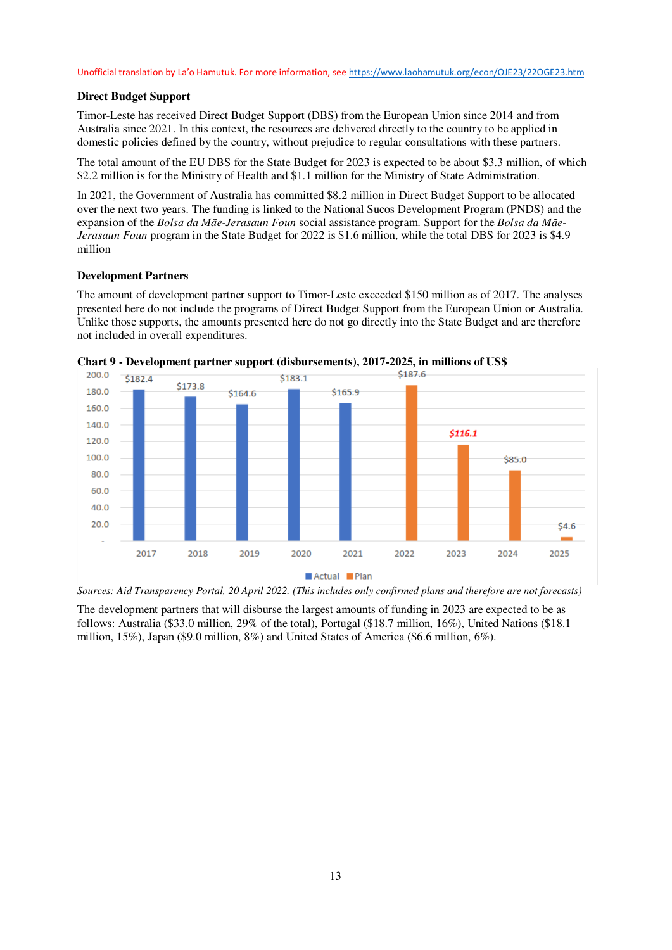### **Direct Budget Support**

Timor-Leste has received Direct Budget Support (DBS) from the European Union since 2014 and from Australia since 2021. In this context, the resources are delivered directly to the country to be applied in domestic policies defined by the country, without prejudice to regular consultations with these partners.

The total amount of the EU DBS for the State Budget for 2023 is expected to be about \$3.3 million, of which \$2.2 million is for the Ministry of Health and \$1.1 million for the Ministry of State Administration.

In 2021, the Government of Australia has committed \$8.2 million in Direct Budget Support to be allocated over the next two years. The funding is linked to the National Sucos Development Program (PNDS) and the expansion of the *Bolsa da Mãe-Jerasaun Foun* social assistance program. Support for the *Bolsa da Mãe-Jerasaun Foun* program in the State Budget for 2022 is \$1.6 million, while the total DBS for 2023 is \$4.9 million

#### **Development Partners**

The amount of development partner support to Timor-Leste exceeded \$150 million as of 2017. The analyses presented here do not include the programs of Direct Budget Support from the European Union or Australia. Unlike those supports, the amounts presented here do not go directly into the State Budget and are therefore not included in overall expenditures.





*Sources: Aid Transparency Portal, 20 April 2022. (This includes only confirmed plans and therefore are not forecasts)* 

The development partners that will disburse the largest amounts of funding in 2023 are expected to be as follows: Australia (\$33.0 million, 29% of the total), Portugal (\$18.7 million, 16%), United Nations (\$18.1 million, 15%), Japan (\$9.0 million, 8%) and United States of America (\$6.6 million, 6%).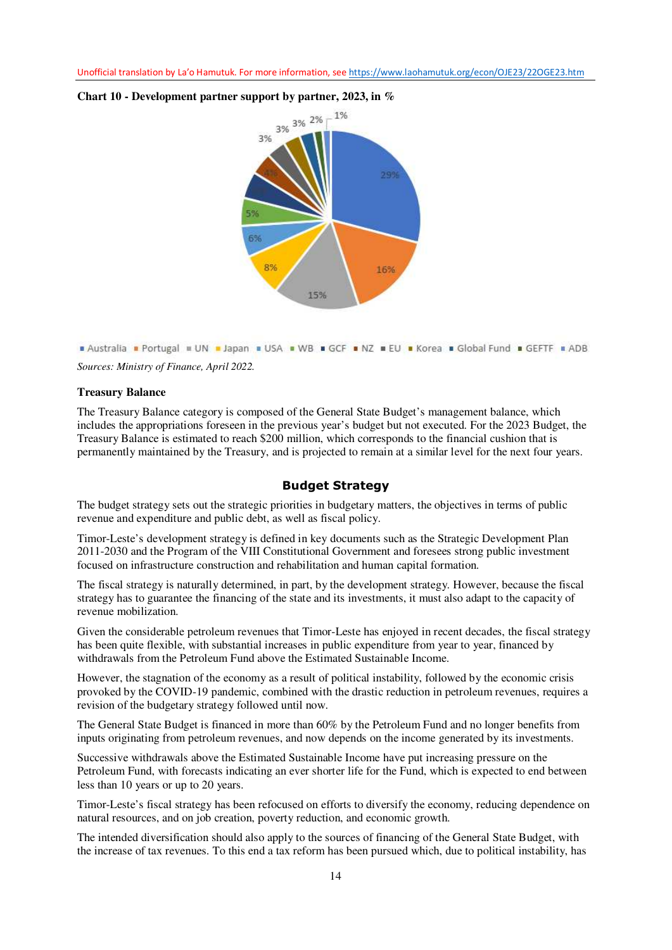

#### **Chart 10 - Development partner support by partner, 2023, in %**



#### **Treasury Balance**

The Treasury Balance category is composed of the General State Budget's management balance, which includes the appropriations foreseen in the previous year's budget but not executed. For the 2023 Budget, the Treasury Balance is estimated to reach \$200 million, which corresponds to the financial cushion that is permanently maintained by the Treasury, and is projected to remain at a similar level for the next four years.

#### **Budget Strategy**

The budget strategy sets out the strategic priorities in budgetary matters, the objectives in terms of public revenue and expenditure and public debt, as well as fiscal policy.

Timor-Leste's development strategy is defined in key documents such as the Strategic Development Plan 2011-2030 and the Program of the VIII Constitutional Government and foresees strong public investment focused on infrastructure construction and rehabilitation and human capital formation.

The fiscal strategy is naturally determined, in part, by the development strategy. However, because the fiscal strategy has to guarantee the financing of the state and its investments, it must also adapt to the capacity of revenue mobilization.

Given the considerable petroleum revenues that Timor-Leste has enjoyed in recent decades, the fiscal strategy has been quite flexible, with substantial increases in public expenditure from year to year, financed by withdrawals from the Petroleum Fund above the Estimated Sustainable Income.

However, the stagnation of the economy as a result of political instability, followed by the economic crisis provoked by the COVID-19 pandemic, combined with the drastic reduction in petroleum revenues, requires a revision of the budgetary strategy followed until now.

The General State Budget is financed in more than 60% by the Petroleum Fund and no longer benefits from inputs originating from petroleum revenues, and now depends on the income generated by its investments.

Successive withdrawals above the Estimated Sustainable Income have put increasing pressure on the Petroleum Fund, with forecasts indicating an ever shorter life for the Fund, which is expected to end between less than 10 years or up to 20 years.

Timor-Leste's fiscal strategy has been refocused on efforts to diversify the economy, reducing dependence on natural resources, and on job creation, poverty reduction, and economic growth.

The intended diversification should also apply to the sources of financing of the General State Budget, with the increase of tax revenues. To this end a tax reform has been pursued which, due to political instability, has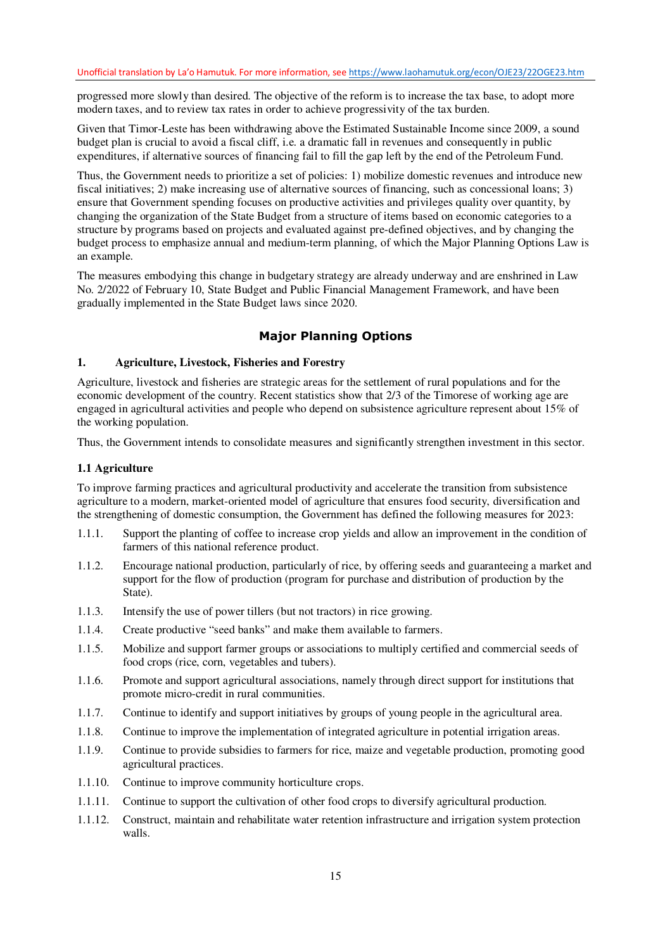progressed more slowly than desired. The objective of the reform is to increase the tax base, to adopt more modern taxes, and to review tax rates in order to achieve progressivity of the tax burden.

Given that Timor-Leste has been withdrawing above the Estimated Sustainable Income since 2009, a sound budget plan is crucial to avoid a fiscal cliff, i.e. a dramatic fall in revenues and consequently in public expenditures, if alternative sources of financing fail to fill the gap left by the end of the Petroleum Fund.

Thus, the Government needs to prioritize a set of policies: 1) mobilize domestic revenues and introduce new fiscal initiatives; 2) make increasing use of alternative sources of financing, such as concessional loans; 3) ensure that Government spending focuses on productive activities and privileges quality over quantity, by changing the organization of the State Budget from a structure of items based on economic categories to a structure by programs based on projects and evaluated against pre-defined objectives, and by changing the budget process to emphasize annual and medium-term planning, of which the Major Planning Options Law is an example.

The measures embodying this change in budgetary strategy are already underway and are enshrined in Law No. 2/2022 of February 10, State Budget and Public Financial Management Framework, and have been gradually implemented in the State Budget laws since 2020.

## **Major Planning Options**

### **1. Agriculture, Livestock, Fisheries and Forestry**

Agriculture, livestock and fisheries are strategic areas for the settlement of rural populations and for the economic development of the country. Recent statistics show that 2/3 of the Timorese of working age are engaged in agricultural activities and people who depend on subsistence agriculture represent about 15% of the working population.

Thus, the Government intends to consolidate measures and significantly strengthen investment in this sector.

#### **1.1 Agriculture**

To improve farming practices and agricultural productivity and accelerate the transition from subsistence agriculture to a modern, market-oriented model of agriculture that ensures food security, diversification and the strengthening of domestic consumption, the Government has defined the following measures for 2023:

- 1.1.1. Support the planting of coffee to increase crop yields and allow an improvement in the condition of farmers of this national reference product.
- 1.1.2. Encourage national production, particularly of rice, by offering seeds and guaranteeing a market and support for the flow of production (program for purchase and distribution of production by the State).
- 1.1.3. Intensify the use of power tillers (but not tractors) in rice growing.
- 1.1.4. Create productive "seed banks" and make them available to farmers.
- 1.1.5. Mobilize and support farmer groups or associations to multiply certified and commercial seeds of food crops (rice, corn, vegetables and tubers).
- 1.1.6. Promote and support agricultural associations, namely through direct support for institutions that promote micro-credit in rural communities.
- 1.1.7. Continue to identify and support initiatives by groups of young people in the agricultural area.
- 1.1.8. Continue to improve the implementation of integrated agriculture in potential irrigation areas.
- 1.1.9. Continue to provide subsidies to farmers for rice, maize and vegetable production, promoting good agricultural practices.
- 1.1.10. Continue to improve community horticulture crops.
- 1.1.11. Continue to support the cultivation of other food crops to diversify agricultural production.
- 1.1.12. Construct, maintain and rehabilitate water retention infrastructure and irrigation system protection walls.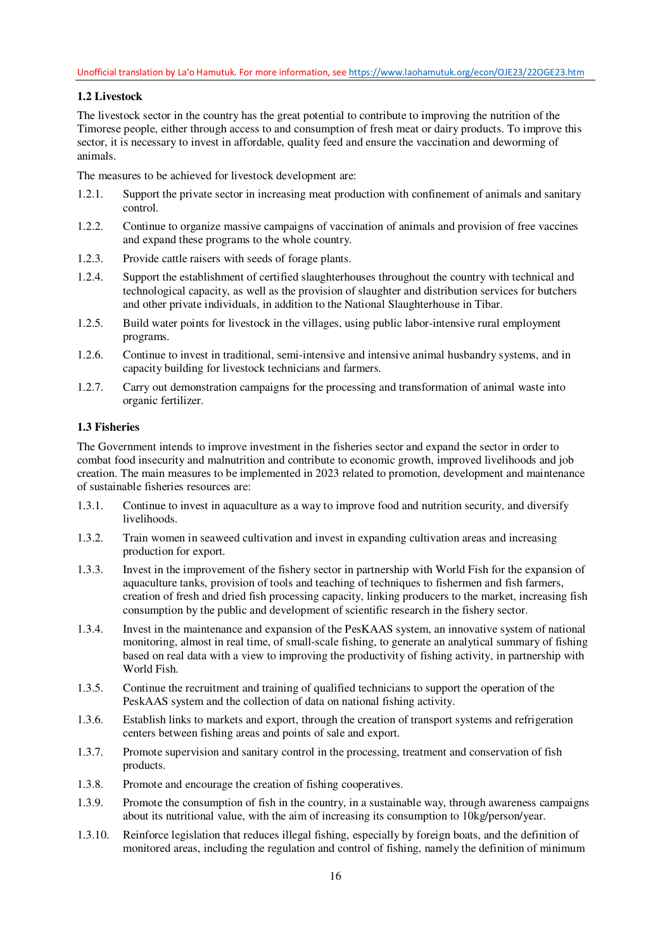## **1.2 Livestock**

The livestock sector in the country has the great potential to contribute to improving the nutrition of the Timorese people, either through access to and consumption of fresh meat or dairy products. To improve this sector, it is necessary to invest in affordable, quality feed and ensure the vaccination and deworming of animals.

The measures to be achieved for livestock development are:

- 1.2.1. Support the private sector in increasing meat production with confinement of animals and sanitary control.
- 1.2.2. Continue to organize massive campaigns of vaccination of animals and provision of free vaccines and expand these programs to the whole country.
- 1.2.3. Provide cattle raisers with seeds of forage plants.
- 1.2.4. Support the establishment of certified slaughterhouses throughout the country with technical and technological capacity, as well as the provision of slaughter and distribution services for butchers and other private individuals, in addition to the National Slaughterhouse in Tibar.
- 1.2.5. Build water points for livestock in the villages, using public labor-intensive rural employment programs.
- 1.2.6. Continue to invest in traditional, semi-intensive and intensive animal husbandry systems, and in capacity building for livestock technicians and farmers.
- 1.2.7. Carry out demonstration campaigns for the processing and transformation of animal waste into organic fertilizer.

### **1.3 Fisheries**

The Government intends to improve investment in the fisheries sector and expand the sector in order to combat food insecurity and malnutrition and contribute to economic growth, improved livelihoods and job creation. The main measures to be implemented in 2023 related to promotion, development and maintenance of sustainable fisheries resources are:

- 1.3.1. Continue to invest in aquaculture as a way to improve food and nutrition security, and diversify livelihoods.
- 1.3.2. Train women in seaweed cultivation and invest in expanding cultivation areas and increasing production for export.
- 1.3.3. Invest in the improvement of the fishery sector in partnership with World Fish for the expansion of aquaculture tanks, provision of tools and teaching of techniques to fishermen and fish farmers, creation of fresh and dried fish processing capacity, linking producers to the market, increasing fish consumption by the public and development of scientific research in the fishery sector.
- 1.3.4. Invest in the maintenance and expansion of the PesKAAS system, an innovative system of national monitoring, almost in real time, of small-scale fishing, to generate an analytical summary of fishing based on real data with a view to improving the productivity of fishing activity, in partnership with World Fish.
- 1.3.5. Continue the recruitment and training of qualified technicians to support the operation of the PeskAAS system and the collection of data on national fishing activity.
- 1.3.6. Establish links to markets and export, through the creation of transport systems and refrigeration centers between fishing areas and points of sale and export.
- 1.3.7. Promote supervision and sanitary control in the processing, treatment and conservation of fish products.
- 1.3.8. Promote and encourage the creation of fishing cooperatives.
- 1.3.9. Promote the consumption of fish in the country, in a sustainable way, through awareness campaigns about its nutritional value, with the aim of increasing its consumption to 10kg/person/year.
- 1.3.10. Reinforce legislation that reduces illegal fishing, especially by foreign boats, and the definition of monitored areas, including the regulation and control of fishing, namely the definition of minimum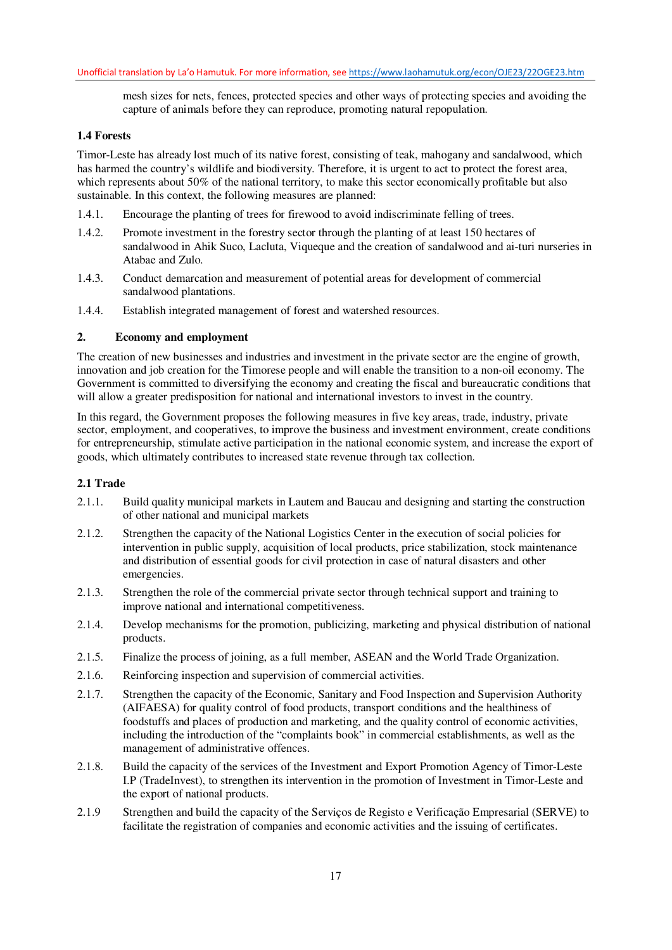mesh sizes for nets, fences, protected species and other ways of protecting species and avoiding the capture of animals before they can reproduce, promoting natural repopulation.

#### **1.4 Forests**

Timor-Leste has already lost much of its native forest, consisting of teak, mahogany and sandalwood, which has harmed the country's wildlife and biodiversity. Therefore, it is urgent to act to protect the forest area, which represents about 50% of the national territory, to make this sector economically profitable but also sustainable. In this context, the following measures are planned:

- 1.4.1. Encourage the planting of trees for firewood to avoid indiscriminate felling of trees.
- 1.4.2. Promote investment in the forestry sector through the planting of at least 150 hectares of sandalwood in Ahik Suco, Lacluta, Viqueque and the creation of sandalwood and ai-turi nurseries in Atabae and Zulo.
- 1.4.3. Conduct demarcation and measurement of potential areas for development of commercial sandalwood plantations.
- 1.4.4. Establish integrated management of forest and watershed resources.

#### **2. Economy and employment**

The creation of new businesses and industries and investment in the private sector are the engine of growth, innovation and job creation for the Timorese people and will enable the transition to a non-oil economy. The Government is committed to diversifying the economy and creating the fiscal and bureaucratic conditions that will allow a greater predisposition for national and international investors to invest in the country.

In this regard, the Government proposes the following measures in five key areas, trade, industry, private sector, employment, and cooperatives, to improve the business and investment environment, create conditions for entrepreneurship, stimulate active participation in the national economic system, and increase the export of goods, which ultimately contributes to increased state revenue through tax collection.

#### **2.1 Trade**

- 2.1.1. Build quality municipal markets in Lautem and Baucau and designing and starting the construction of other national and municipal markets
- 2.1.2. Strengthen the capacity of the National Logistics Center in the execution of social policies for intervention in public supply, acquisition of local products, price stabilization, stock maintenance and distribution of essential goods for civil protection in case of natural disasters and other emergencies.
- 2.1.3. Strengthen the role of the commercial private sector through technical support and training to improve national and international competitiveness.
- 2.1.4. Develop mechanisms for the promotion, publicizing, marketing and physical distribution of national products.
- 2.1.5. Finalize the process of joining, as a full member, ASEAN and the World Trade Organization.
- 2.1.6. Reinforcing inspection and supervision of commercial activities.
- 2.1.7. Strengthen the capacity of the Economic, Sanitary and Food Inspection and Supervision Authority (AIFAESA) for quality control of food products, transport conditions and the healthiness of foodstuffs and places of production and marketing, and the quality control of economic activities, including the introduction of the "complaints book" in commercial establishments, as well as the management of administrative offences.
- 2.1.8. Build the capacity of the services of the Investment and Export Promotion Agency of Timor-Leste I.P (TradeInvest), to strengthen its intervention in the promotion of Investment in Timor-Leste and the export of national products.
- 2.1.9 Strengthen and build the capacity of the Serviços de Registo e Verificação Empresarial (SERVE) to facilitate the registration of companies and economic activities and the issuing of certificates.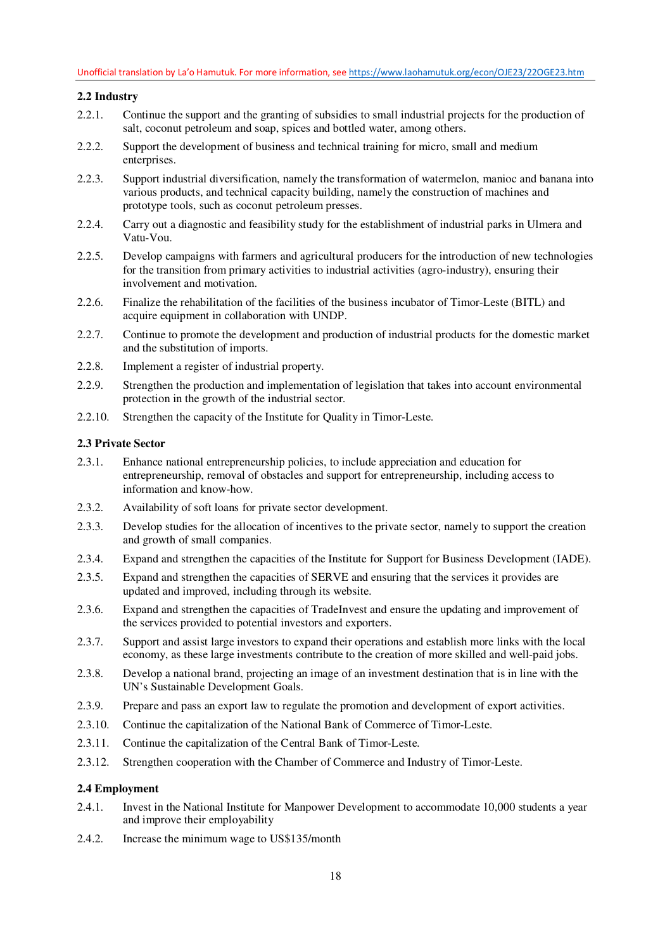## **2.2 Industry**

- 2.2.1. Continue the support and the granting of subsidies to small industrial projects for the production of salt, coconut petroleum and soap, spices and bottled water, among others.
- 2.2.2. Support the development of business and technical training for micro, small and medium enterprises.
- 2.2.3. Support industrial diversification, namely the transformation of watermelon, manioc and banana into various products, and technical capacity building, namely the construction of machines and prototype tools, such as coconut petroleum presses.
- 2.2.4. Carry out a diagnostic and feasibility study for the establishment of industrial parks in Ulmera and Vatu-Vou.
- 2.2.5. Develop campaigns with farmers and agricultural producers for the introduction of new technologies for the transition from primary activities to industrial activities (agro-industry), ensuring their involvement and motivation.
- 2.2.6. Finalize the rehabilitation of the facilities of the business incubator of Timor-Leste (BITL) and acquire equipment in collaboration with UNDP.
- 2.2.7. Continue to promote the development and production of industrial products for the domestic market and the substitution of imports.
- 2.2.8. Implement a register of industrial property.
- 2.2.9. Strengthen the production and implementation of legislation that takes into account environmental protection in the growth of the industrial sector.
- 2.2.10. Strengthen the capacity of the Institute for Quality in Timor-Leste.

### **2.3 Private Sector**

- 2.3.1. Enhance national entrepreneurship policies, to include appreciation and education for entrepreneurship, removal of obstacles and support for entrepreneurship, including access to information and know-how.
- 2.3.2. Availability of soft loans for private sector development.
- 2.3.3. Develop studies for the allocation of incentives to the private sector, namely to support the creation and growth of small companies.
- 2.3.4. Expand and strengthen the capacities of the Institute for Support for Business Development (IADE).
- 2.3.5. Expand and strengthen the capacities of SERVE and ensuring that the services it provides are updated and improved, including through its website.
- 2.3.6. Expand and strengthen the capacities of TradeInvest and ensure the updating and improvement of the services provided to potential investors and exporters.
- 2.3.7. Support and assist large investors to expand their operations and establish more links with the local economy, as these large investments contribute to the creation of more skilled and well-paid jobs.
- 2.3.8. Develop a national brand, projecting an image of an investment destination that is in line with the UN's Sustainable Development Goals.
- 2.3.9. Prepare and pass an export law to regulate the promotion and development of export activities.
- 2.3.10. Continue the capitalization of the National Bank of Commerce of Timor-Leste.
- 2.3.11. Continue the capitalization of the Central Bank of Timor-Leste.
- 2.3.12. Strengthen cooperation with the Chamber of Commerce and Industry of Timor-Leste.

### **2.4 Employment**

- 2.4.1. Invest in the National Institute for Manpower Development to accommodate 10,000 students a year and improve their employability
- 2.4.2. Increase the minimum wage to US\$135/month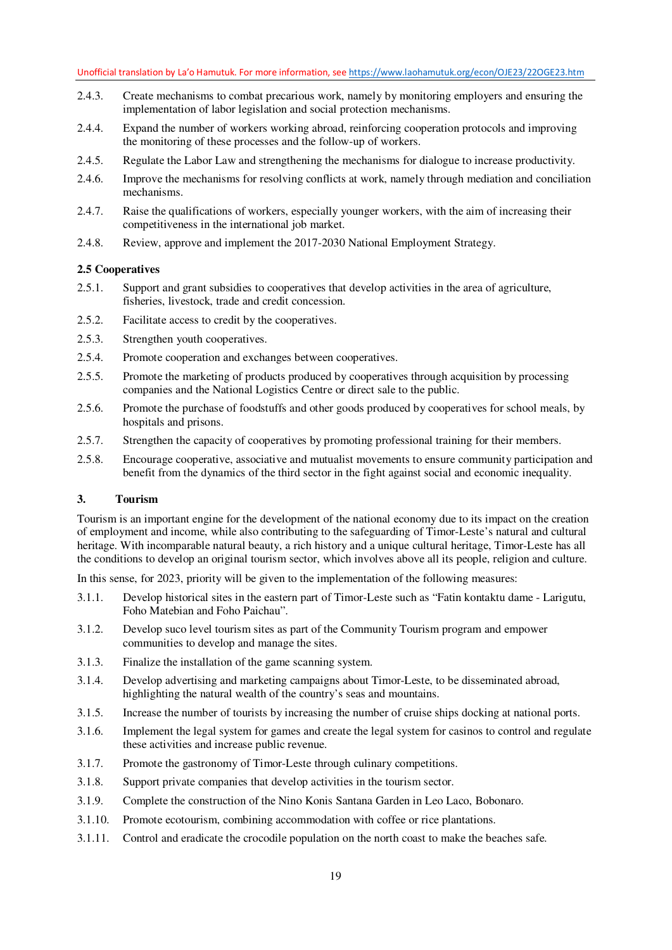- 2.4.3. Create mechanisms to combat precarious work, namely by monitoring employers and ensuring the implementation of labor legislation and social protection mechanisms.
- 2.4.4. Expand the number of workers working abroad, reinforcing cooperation protocols and improving the monitoring of these processes and the follow-up of workers.
- 2.4.5. Regulate the Labor Law and strengthening the mechanisms for dialogue to increase productivity.
- 2.4.6. Improve the mechanisms for resolving conflicts at work, namely through mediation and conciliation mechanisms.
- 2.4.7. Raise the qualifications of workers, especially younger workers, with the aim of increasing their competitiveness in the international job market.
- 2.4.8. Review, approve and implement the 2017-2030 National Employment Strategy.

### **2.5 Cooperatives**

- 2.5.1. Support and grant subsidies to cooperatives that develop activities in the area of agriculture, fisheries, livestock, trade and credit concession.
- 2.5.2. Facilitate access to credit by the cooperatives.
- 2.5.3. Strengthen youth cooperatives.
- 2.5.4. Promote cooperation and exchanges between cooperatives.
- 2.5.5. Promote the marketing of products produced by cooperatives through acquisition by processing companies and the National Logistics Centre or direct sale to the public.
- 2.5.6. Promote the purchase of foodstuffs and other goods produced by cooperatives for school meals, by hospitals and prisons.
- 2.5.7. Strengthen the capacity of cooperatives by promoting professional training for their members.
- 2.5.8. Encourage cooperative, associative and mutualist movements to ensure community participation and benefit from the dynamics of the third sector in the fight against social and economic inequality.

## **3. Tourism**

Tourism is an important engine for the development of the national economy due to its impact on the creation of employment and income, while also contributing to the safeguarding of Timor-Leste's natural and cultural heritage. With incomparable natural beauty, a rich history and a unique cultural heritage, Timor-Leste has all the conditions to develop an original tourism sector, which involves above all its people, religion and culture.

In this sense, for 2023, priority will be given to the implementation of the following measures:

- 3.1.1. Develop historical sites in the eastern part of Timor-Leste such as "Fatin kontaktu dame Larigutu, Foho Matebian and Foho Paichau".
- 3.1.2. Develop suco level tourism sites as part of the Community Tourism program and empower communities to develop and manage the sites.
- 3.1.3. Finalize the installation of the game scanning system.
- 3.1.4. Develop advertising and marketing campaigns about Timor-Leste, to be disseminated abroad, highlighting the natural wealth of the country's seas and mountains.
- 3.1.5. Increase the number of tourists by increasing the number of cruise ships docking at national ports.
- 3.1.6. Implement the legal system for games and create the legal system for casinos to control and regulate these activities and increase public revenue.
- 3.1.7. Promote the gastronomy of Timor-Leste through culinary competitions.
- 3.1.8. Support private companies that develop activities in the tourism sector.
- 3.1.9. Complete the construction of the Nino Konis Santana Garden in Leo Laco, Bobonaro.
- 3.1.10. Promote ecotourism, combining accommodation with coffee or rice plantations.
- 3.1.11. Control and eradicate the crocodile population on the north coast to make the beaches safe.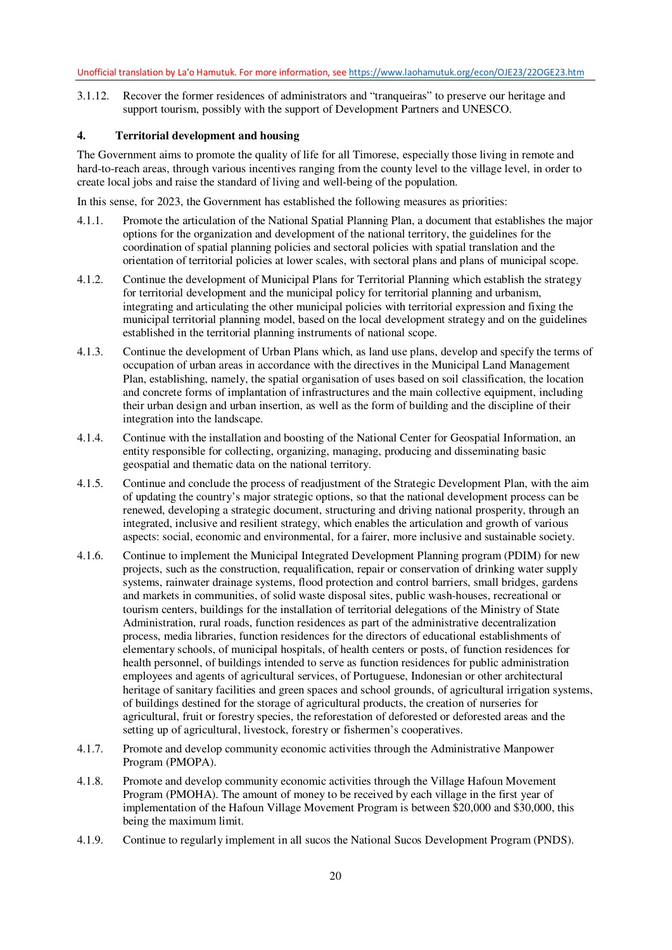3.1.12. Recover the former residences of administrators and "tranqueiras" to preserve our heritage and support tourism, possibly with the support of Development Partners and UNESCO.

#### **4. Territorial development and housing**

The Government aims to promote the quality of life for all Timorese, especially those living in remote and hard-to-reach areas, through various incentives ranging from the county level to the village level, in order to create local jobs and raise the standard of living and well-being of the population.

In this sense, for 2023, the Government has established the following measures as priorities:

- 4.1.1. Promote the articulation of the National Spatial Planning Plan, a document that establishes the major options for the organization and development of the national territory, the guidelines for the coordination of spatial planning policies and sectoral policies with spatial translation and the orientation of territorial policies at lower scales, with sectoral plans and plans of municipal scope.
- 4.1.2. Continue the development of Municipal Plans for Territorial Planning which establish the strategy for territorial development and the municipal policy for territorial planning and urbanism, integrating and articulating the other municipal policies with territorial expression and fixing the municipal territorial planning model, based on the local development strategy and on the guidelines established in the territorial planning instruments of national scope.
- 4.1.3. Continue the development of Urban Plans which, as land use plans, develop and specify the terms of occupation of urban areas in accordance with the directives in the Municipal Land Management Plan, establishing, namely, the spatial organisation of uses based on soil classification, the location and concrete forms of implantation of infrastructures and the main collective equipment, including their urban design and urban insertion, as well as the form of building and the discipline of their integration into the landscape.
- 4.1.4. Continue with the installation and boosting of the National Center for Geospatial Information, an entity responsible for collecting, organizing, managing, producing and disseminating basic geospatial and thematic data on the national territory.
- 4.1.5. Continue and conclude the process of readjustment of the Strategic Development Plan, with the aim of updating the country's major strategic options, so that the national development process can be renewed, developing a strategic document, structuring and driving national prosperity, through an integrated, inclusive and resilient strategy, which enables the articulation and growth of various aspects: social, economic and environmental, for a fairer, more inclusive and sustainable society.
- 4.1.6. Continue to implement the Municipal Integrated Development Planning program (PDIM) for new projects, such as the construction, requalification, repair or conservation of drinking water supply systems, rainwater drainage systems, flood protection and control barriers, small bridges, gardens and markets in communities, of solid waste disposal sites, public wash-houses, recreational or tourism centers, buildings for the installation of territorial delegations of the Ministry of State Administration, rural roads, function residences as part of the administrative decentralization process, media libraries, function residences for the directors of educational establishments of elementary schools, of municipal hospitals, of health centers or posts, of function residences for health personnel, of buildings intended to serve as function residences for public administration employees and agents of agricultural services, of Portuguese, Indonesian or other architectural heritage of sanitary facilities and green spaces and school grounds, of agricultural irrigation systems, of buildings destined for the storage of agricultural products, the creation of nurseries for agricultural, fruit or forestry species, the reforestation of deforested or deforested areas and the setting up of agricultural, livestock, forestry or fishermen's cooperatives.
- 4.1.7. Promote and develop community economic activities through the Administrative Manpower Program (PMOPA).
- 4.1.8. Promote and develop community economic activities through the Village Hafoun Movement Program (PMOHA). The amount of money to be received by each village in the first year of implementation of the Hafoun Village Movement Program is between \$20,000 and \$30,000, this being the maximum limit.
- 4.1.9. Continue to regularly implement in all sucos the National Sucos Development Program (PNDS).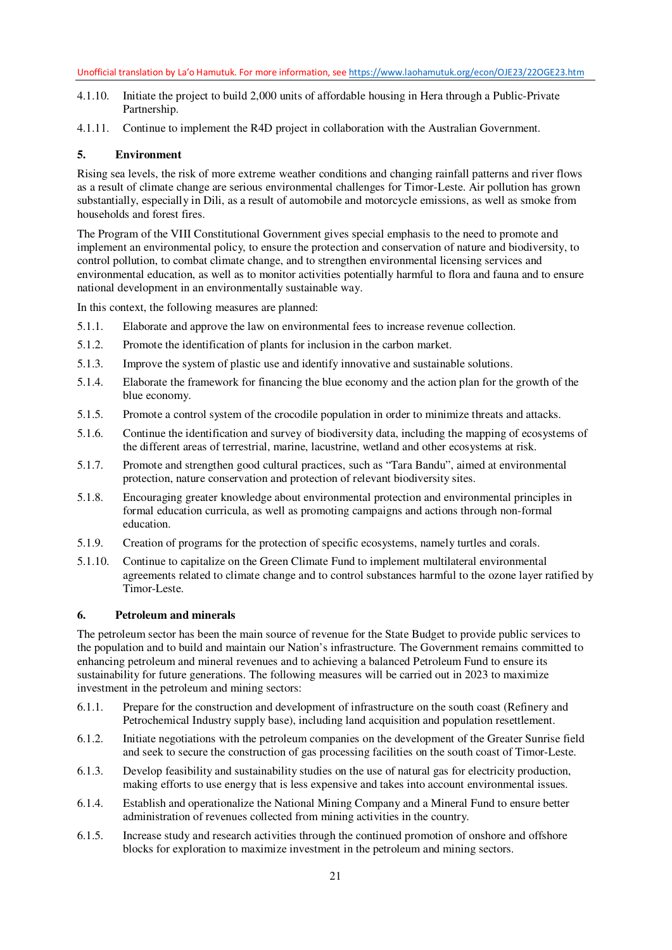- 4.1.10. Initiate the project to build 2,000 units of affordable housing in Hera through a Public-Private Partnership.
- 4.1.11. Continue to implement the R4D project in collaboration with the Australian Government.

### **5. Environment**

Rising sea levels, the risk of more extreme weather conditions and changing rainfall patterns and river flows as a result of climate change are serious environmental challenges for Timor-Leste. Air pollution has grown substantially, especially in Dili, as a result of automobile and motorcycle emissions, as well as smoke from households and forest fires.

The Program of the VIII Constitutional Government gives special emphasis to the need to promote and implement an environmental policy, to ensure the protection and conservation of nature and biodiversity, to control pollution, to combat climate change, and to strengthen environmental licensing services and environmental education, as well as to monitor activities potentially harmful to flora and fauna and to ensure national development in an environmentally sustainable way.

In this context, the following measures are planned:

- 5.1.1. Elaborate and approve the law on environmental fees to increase revenue collection.
- 5.1.2. Promote the identification of plants for inclusion in the carbon market.
- 5.1.3. Improve the system of plastic use and identify innovative and sustainable solutions.
- 5.1.4. Elaborate the framework for financing the blue economy and the action plan for the growth of the blue economy.
- 5.1.5. Promote a control system of the crocodile population in order to minimize threats and attacks.
- 5.1.6. Continue the identification and survey of biodiversity data, including the mapping of ecosystems of the different areas of terrestrial, marine, lacustrine, wetland and other ecosystems at risk.
- 5.1.7. Promote and strengthen good cultural practices, such as "Tara Bandu", aimed at environmental protection, nature conservation and protection of relevant biodiversity sites.
- 5.1.8. Encouraging greater knowledge about environmental protection and environmental principles in formal education curricula, as well as promoting campaigns and actions through non-formal education.
- 5.1.9. Creation of programs for the protection of specific ecosystems, namely turtles and corals.
- 5.1.10. Continue to capitalize on the Green Climate Fund to implement multilateral environmental agreements related to climate change and to control substances harmful to the ozone layer ratified by Timor-Leste.

## **6. Petroleum and minerals**

The petroleum sector has been the main source of revenue for the State Budget to provide public services to the population and to build and maintain our Nation's infrastructure. The Government remains committed to enhancing petroleum and mineral revenues and to achieving a balanced Petroleum Fund to ensure its sustainability for future generations. The following measures will be carried out in 2023 to maximize investment in the petroleum and mining sectors:

- 6.1.1. Prepare for the construction and development of infrastructure on the south coast (Refinery and Petrochemical Industry supply base), including land acquisition and population resettlement.
- 6.1.2. Initiate negotiations with the petroleum companies on the development of the Greater Sunrise field and seek to secure the construction of gas processing facilities on the south coast of Timor-Leste.
- 6.1.3. Develop feasibility and sustainability studies on the use of natural gas for electricity production, making efforts to use energy that is less expensive and takes into account environmental issues.
- 6.1.4. Establish and operationalize the National Mining Company and a Mineral Fund to ensure better administration of revenues collected from mining activities in the country.
- 6.1.5. Increase study and research activities through the continued promotion of onshore and offshore blocks for exploration to maximize investment in the petroleum and mining sectors.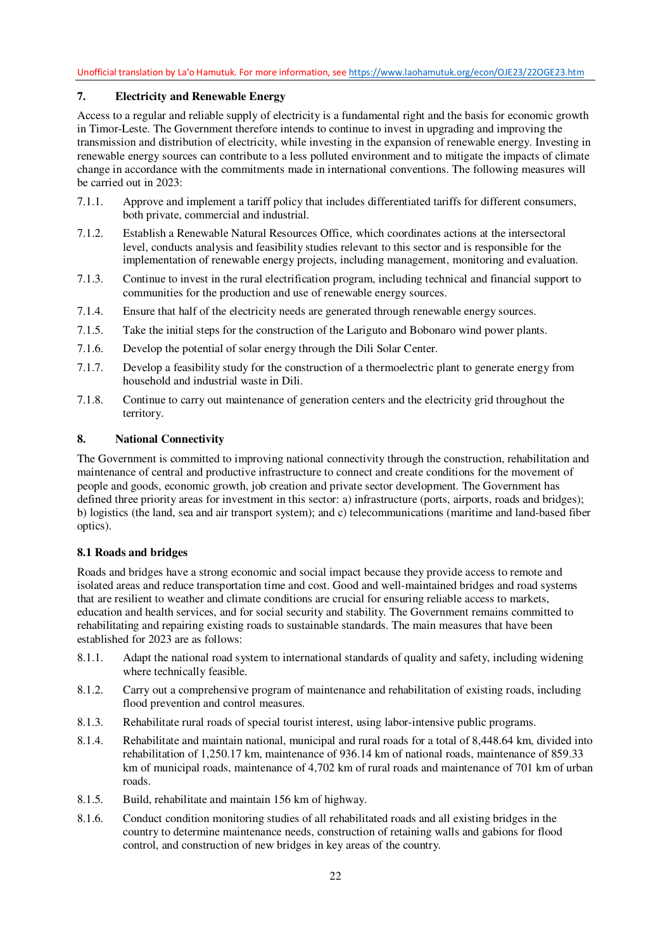# **7. Electricity and Renewable Energy**

Access to a regular and reliable supply of electricity is a fundamental right and the basis for economic growth in Timor-Leste. The Government therefore intends to continue to invest in upgrading and improving the transmission and distribution of electricity, while investing in the expansion of renewable energy. Investing in renewable energy sources can contribute to a less polluted environment and to mitigate the impacts of climate change in accordance with the commitments made in international conventions. The following measures will be carried out in 2023:

- 7.1.1. Approve and implement a tariff policy that includes differentiated tariffs for different consumers, both private, commercial and industrial.
- 7.1.2. Establish a Renewable Natural Resources Office, which coordinates actions at the intersectoral level, conducts analysis and feasibility studies relevant to this sector and is responsible for the implementation of renewable energy projects, including management, monitoring and evaluation.
- 7.1.3. Continue to invest in the rural electrification program, including technical and financial support to communities for the production and use of renewable energy sources.
- 7.1.4. Ensure that half of the electricity needs are generated through renewable energy sources.
- 7.1.5. Take the initial steps for the construction of the Lariguto and Bobonaro wind power plants.
- 7.1.6. Develop the potential of solar energy through the Dili Solar Center.
- 7.1.7. Develop a feasibility study for the construction of a thermoelectric plant to generate energy from household and industrial waste in Dili.
- 7.1.8. Continue to carry out maintenance of generation centers and the electricity grid throughout the territory.

#### **8. National Connectivity**

The Government is committed to improving national connectivity through the construction, rehabilitation and maintenance of central and productive infrastructure to connect and create conditions for the movement of people and goods, economic growth, job creation and private sector development. The Government has defined three priority areas for investment in this sector: a) infrastructure (ports, airports, roads and bridges); b) logistics (the land, sea and air transport system); and c) telecommunications (maritime and land-based fiber optics).

### **8.1 Roads and bridges**

Roads and bridges have a strong economic and social impact because they provide access to remote and isolated areas and reduce transportation time and cost. Good and well-maintained bridges and road systems that are resilient to weather and climate conditions are crucial for ensuring reliable access to markets, education and health services, and for social security and stability. The Government remains committed to rehabilitating and repairing existing roads to sustainable standards. The main measures that have been established for 2023 are as follows:

- 8.1.1. Adapt the national road system to international standards of quality and safety, including widening where technically feasible.
- 8.1.2. Carry out a comprehensive program of maintenance and rehabilitation of existing roads, including flood prevention and control measures.
- 8.1.3. Rehabilitate rural roads of special tourist interest, using labor-intensive public programs.
- 8.1.4. Rehabilitate and maintain national, municipal and rural roads for a total of 8,448.64 km, divided into rehabilitation of 1,250.17 km, maintenance of 936.14 km of national roads, maintenance of 859.33 km of municipal roads, maintenance of 4,702 km of rural roads and maintenance of 701 km of urban roads.
- 8.1.5. Build, rehabilitate and maintain 156 km of highway.
- 8.1.6. Conduct condition monitoring studies of all rehabilitated roads and all existing bridges in the country to determine maintenance needs, construction of retaining walls and gabions for flood control, and construction of new bridges in key areas of the country.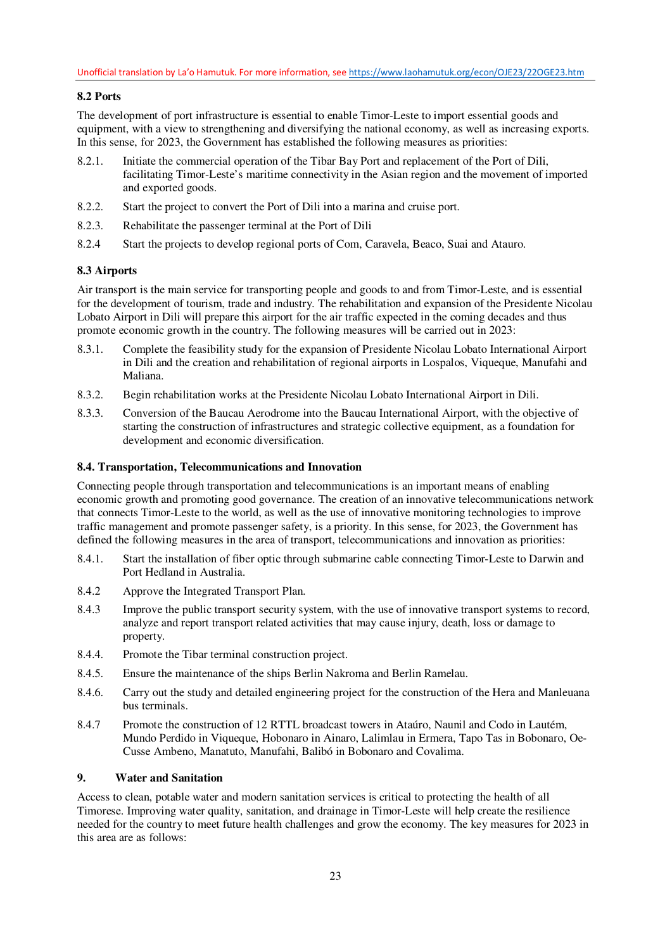## **8.2 Ports**

The development of port infrastructure is essential to enable Timor-Leste to import essential goods and equipment, with a view to strengthening and diversifying the national economy, as well as increasing exports. In this sense, for 2023, the Government has established the following measures as priorities:

- 8.2.1. Initiate the commercial operation of the Tibar Bay Port and replacement of the Port of Dili, facilitating Timor-Leste's maritime connectivity in the Asian region and the movement of imported and exported goods.
- 8.2.2. Start the project to convert the Port of Dili into a marina and cruise port.
- 8.2.3. Rehabilitate the passenger terminal at the Port of Dili
- 8.2.4 Start the projects to develop regional ports of Com, Caravela, Beaco, Suai and Atauro.

## **8.3 Airports**

Air transport is the main service for transporting people and goods to and from Timor-Leste, and is essential for the development of tourism, trade and industry. The rehabilitation and expansion of the Presidente Nicolau Lobato Airport in Dili will prepare this airport for the air traffic expected in the coming decades and thus promote economic growth in the country. The following measures will be carried out in 2023:

- 8.3.1. Complete the feasibility study for the expansion of Presidente Nicolau Lobato International Airport in Dili and the creation and rehabilitation of regional airports in Lospalos, Viqueque, Manufahi and Maliana.
- 8.3.2. Begin rehabilitation works at the Presidente Nicolau Lobato International Airport in Dili.
- 8.3.3. Conversion of the Baucau Aerodrome into the Baucau International Airport, with the objective of starting the construction of infrastructures and strategic collective equipment, as a foundation for development and economic diversification.

#### **8.4. Transportation, Telecommunications and Innovation**

Connecting people through transportation and telecommunications is an important means of enabling economic growth and promoting good governance. The creation of an innovative telecommunications network that connects Timor-Leste to the world, as well as the use of innovative monitoring technologies to improve traffic management and promote passenger safety, is a priority. In this sense, for 2023, the Government has defined the following measures in the area of transport, telecommunications and innovation as priorities:

- 8.4.1. Start the installation of fiber optic through submarine cable connecting Timor-Leste to Darwin and Port Hedland in Australia.
- 8.4.2 Approve the Integrated Transport Plan.
- 8.4.3 Improve the public transport security system, with the use of innovative transport systems to record, analyze and report transport related activities that may cause injury, death, loss or damage to property.
- 8.4.4. Promote the Tibar terminal construction project.
- 8.4.5. Ensure the maintenance of the ships Berlin Nakroma and Berlin Ramelau.
- 8.4.6. Carry out the study and detailed engineering project for the construction of the Hera and Manleuana bus terminals.
- 8.4.7 Promote the construction of 12 RTTL broadcast towers in Ataúro, Naunil and Codo in Lautém, Mundo Perdido in Viqueque, Hobonaro in Ainaro, Lalimlau in Ermera, Tapo Tas in Bobonaro, Oe-Cusse Ambeno, Manatuto, Manufahi, Balibó in Bobonaro and Covalima.

## **9. Water and Sanitation**

Access to clean, potable water and modern sanitation services is critical to protecting the health of all Timorese. Improving water quality, sanitation, and drainage in Timor-Leste will help create the resilience needed for the country to meet future health challenges and grow the economy. The key measures for 2023 in this area are as follows: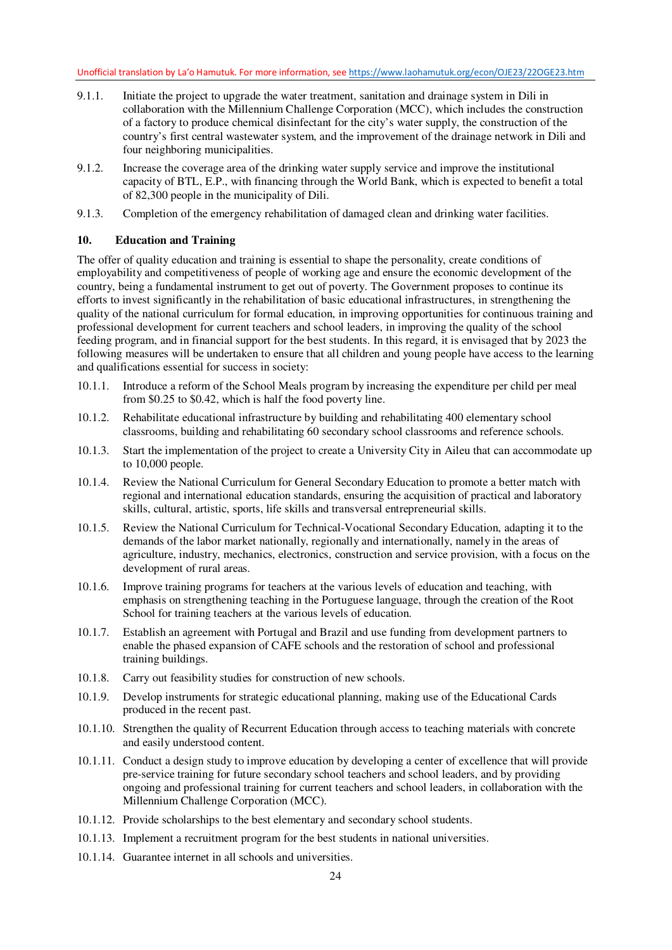- 9.1.1. Initiate the project to upgrade the water treatment, sanitation and drainage system in Dili in collaboration with the Millennium Challenge Corporation (MCC), which includes the construction of a factory to produce chemical disinfectant for the city's water supply, the construction of the country's first central wastewater system, and the improvement of the drainage network in Dili and four neighboring municipalities.
- 9.1.2. Increase the coverage area of the drinking water supply service and improve the institutional capacity of BTL, E.P., with financing through the World Bank, which is expected to benefit a total of 82,300 people in the municipality of Dili.
- 9.1.3. Completion of the emergency rehabilitation of damaged clean and drinking water facilities.

## **10. Education and Training**

The offer of quality education and training is essential to shape the personality, create conditions of employability and competitiveness of people of working age and ensure the economic development of the country, being a fundamental instrument to get out of poverty. The Government proposes to continue its efforts to invest significantly in the rehabilitation of basic educational infrastructures, in strengthening the quality of the national curriculum for formal education, in improving opportunities for continuous training and professional development for current teachers and school leaders, in improving the quality of the school feeding program, and in financial support for the best students. In this regard, it is envisaged that by 2023 the following measures will be undertaken to ensure that all children and young people have access to the learning and qualifications essential for success in society:

- 10.1.1. Introduce a reform of the School Meals program by increasing the expenditure per child per meal from \$0.25 to \$0.42, which is half the food poverty line.
- 10.1.2. Rehabilitate educational infrastructure by building and rehabilitating 400 elementary school classrooms, building and rehabilitating 60 secondary school classrooms and reference schools.
- 10.1.3. Start the implementation of the project to create a University City in Aileu that can accommodate up to 10,000 people.
- 10.1.4. Review the National Curriculum for General Secondary Education to promote a better match with regional and international education standards, ensuring the acquisition of practical and laboratory skills, cultural, artistic, sports, life skills and transversal entrepreneurial skills.
- 10.1.5. Review the National Curriculum for Technical-Vocational Secondary Education, adapting it to the demands of the labor market nationally, regionally and internationally, namely in the areas of agriculture, industry, mechanics, electronics, construction and service provision, with a focus on the development of rural areas.
- 10.1.6. Improve training programs for teachers at the various levels of education and teaching, with emphasis on strengthening teaching in the Portuguese language, through the creation of the Root School for training teachers at the various levels of education.
- 10.1.7. Establish an agreement with Portugal and Brazil and use funding from development partners to enable the phased expansion of CAFE schools and the restoration of school and professional training buildings.
- 10.1.8. Carry out feasibility studies for construction of new schools.
- 10.1.9. Develop instruments for strategic educational planning, making use of the Educational Cards produced in the recent past.
- 10.1.10. Strengthen the quality of Recurrent Education through access to teaching materials with concrete and easily understood content.
- 10.1.11. Conduct a design study to improve education by developing a center of excellence that will provide pre-service training for future secondary school teachers and school leaders, and by providing ongoing and professional training for current teachers and school leaders, in collaboration with the Millennium Challenge Corporation (MCC).
- 10.1.12. Provide scholarships to the best elementary and secondary school students.
- 10.1.13. Implement a recruitment program for the best students in national universities.
- 10.1.14. Guarantee internet in all schools and universities.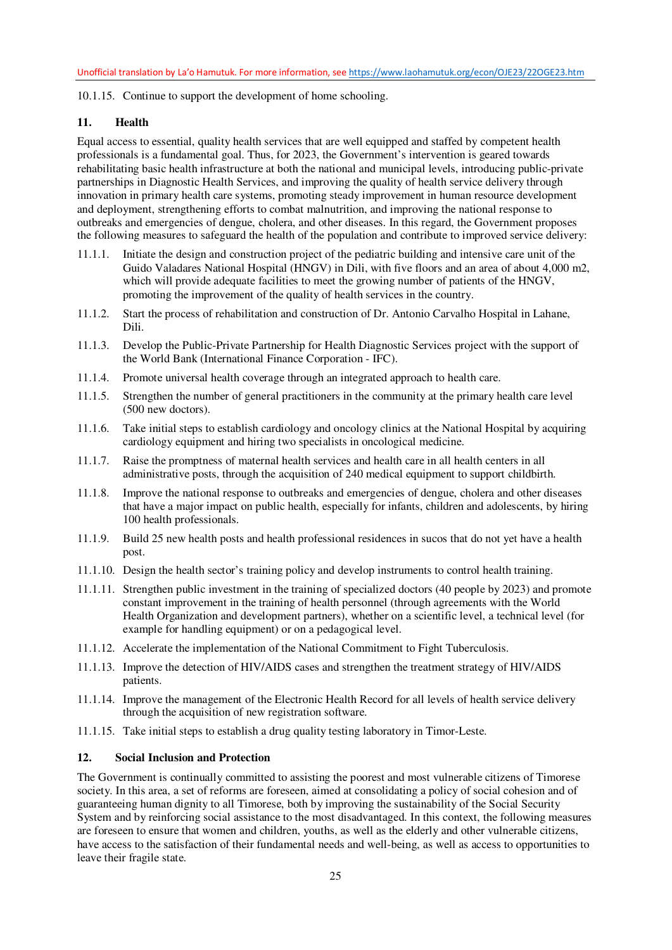10.1.15. Continue to support the development of home schooling.

#### **11. Health**

Equal access to essential, quality health services that are well equipped and staffed by competent health professionals is a fundamental goal. Thus, for 2023, the Government's intervention is geared towards rehabilitating basic health infrastructure at both the national and municipal levels, introducing public-private partnerships in Diagnostic Health Services, and improving the quality of health service delivery through innovation in primary health care systems, promoting steady improvement in human resource development and deployment, strengthening efforts to combat malnutrition, and improving the national response to outbreaks and emergencies of dengue, cholera, and other diseases. In this regard, the Government proposes the following measures to safeguard the health of the population and contribute to improved service delivery:

- 11.1.1. Initiate the design and construction project of the pediatric building and intensive care unit of the Guido Valadares National Hospital (HNGV) in Dili, with five floors and an area of about 4,000 m2, which will provide adequate facilities to meet the growing number of patients of the HNGV, promoting the improvement of the quality of health services in the country.
- 11.1.2. Start the process of rehabilitation and construction of Dr. Antonio Carvalho Hospital in Lahane, Dili.
- 11.1.3. Develop the Public-Private Partnership for Health Diagnostic Services project with the support of the World Bank (International Finance Corporation - IFC).
- 11.1.4. Promote universal health coverage through an integrated approach to health care.
- 11.1.5. Strengthen the number of general practitioners in the community at the primary health care level (500 new doctors).
- 11.1.6. Take initial steps to establish cardiology and oncology clinics at the National Hospital by acquiring cardiology equipment and hiring two specialists in oncological medicine.
- 11.1.7. Raise the promptness of maternal health services and health care in all health centers in all administrative posts, through the acquisition of 240 medical equipment to support childbirth.
- 11.1.8. Improve the national response to outbreaks and emergencies of dengue, cholera and other diseases that have a major impact on public health, especially for infants, children and adolescents, by hiring 100 health professionals.
- 11.1.9. Build 25 new health posts and health professional residences in sucos that do not yet have a health post.
- 11.1.10. Design the health sector's training policy and develop instruments to control health training.
- 11.1.11. Strengthen public investment in the training of specialized doctors (40 people by 2023) and promote constant improvement in the training of health personnel (through agreements with the World Health Organization and development partners), whether on a scientific level, a technical level (for example for handling equipment) or on a pedagogical level.
- 11.1.12. Accelerate the implementation of the National Commitment to Fight Tuberculosis.
- 11.1.13. Improve the detection of HIV/AIDS cases and strengthen the treatment strategy of HIV/AIDS patients.
- 11.1.14. Improve the management of the Electronic Health Record for all levels of health service delivery through the acquisition of new registration software.
- 11.1.15. Take initial steps to establish a drug quality testing laboratory in Timor-Leste.

### **12. Social Inclusion and Protection**

The Government is continually committed to assisting the poorest and most vulnerable citizens of Timorese society. In this area, a set of reforms are foreseen, aimed at consolidating a policy of social cohesion and of guaranteeing human dignity to all Timorese, both by improving the sustainability of the Social Security System and by reinforcing social assistance to the most disadvantaged. In this context, the following measures are foreseen to ensure that women and children, youths, as well as the elderly and other vulnerable citizens, have access to the satisfaction of their fundamental needs and well-being, as well as access to opportunities to leave their fragile state.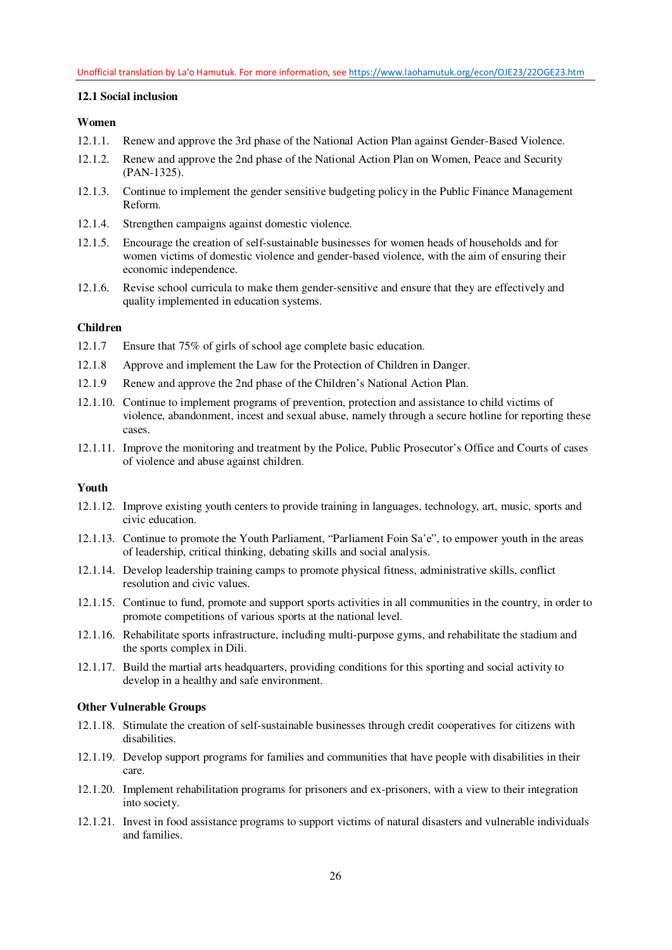## **12.1 Social inclusion**

## **Women**

- 12.1.1. Renew and approve the 3rd phase of the National Action Plan against Gender-Based Violence.
- 12.1.2. Renew and approve the 2nd phase of the National Action Plan on Women, Peace and Security (PAN-1325).
- 12.1.3. Continue to implement the gender sensitive budgeting policy in the Public Finance Management Reform.
- 12.1.4. Strengthen campaigns against domestic violence.
- 12.1.5. Encourage the creation of self-sustainable businesses for women heads of households and for women victims of domestic violence and gender-based violence, with the aim of ensuring their economic independence.
- 12.1.6. Revise school curricula to make them gender-sensitive and ensure that they are effectively and quality implemented in education systems.

### **Children**

- 12.1.7 Ensure that 75% of girls of school age complete basic education.
- 12.1.8 Approve and implement the Law for the Protection of Children in Danger.
- 12.1.9 Renew and approve the 2nd phase of the Children's National Action Plan.
- 12.1.10. Continue to implement programs of prevention, protection and assistance to child victims of violence, abandonment, incest and sexual abuse, namely through a secure hotline for reporting these cases.
- 12.1.11. Improve the monitoring and treatment by the Police, Public Prosecutor's Office and Courts of cases of violence and abuse against children.

### **Youth**

- 12.1.12. Improve existing youth centers to provide training in languages, technology, art, music, sports and civic education.
- 12.1.13. Continue to promote the Youth Parliament, "Parliament Foin Sa'e", to empower youth in the areas of leadership, critical thinking, debating skills and social analysis.
- 12.1.14. Develop leadership training camps to promote physical fitness, administrative skills, conflict resolution and civic values.
- 12.1.15. Continue to fund, promote and support sports activities in all communities in the country, in order to promote competitions of various sports at the national level.
- 12.1.16. Rehabilitate sports infrastructure, including multi-purpose gyms, and rehabilitate the stadium and the sports complex in Dili.
- 12.1.17. Build the martial arts headquarters, providing conditions for this sporting and social activity to develop in a healthy and safe environment.

#### **Other Vulnerable Groups**

- 12.1.18. Stimulate the creation of self-sustainable businesses through credit cooperatives for citizens with disabilities.
- 12.1.19. Develop support programs for families and communities that have people with disabilities in their care.
- 12.1.20. Implement rehabilitation programs for prisoners and ex-prisoners, with a view to their integration into society.
- 12.1.21. Invest in food assistance programs to support victims of natural disasters and vulnerable individuals and families.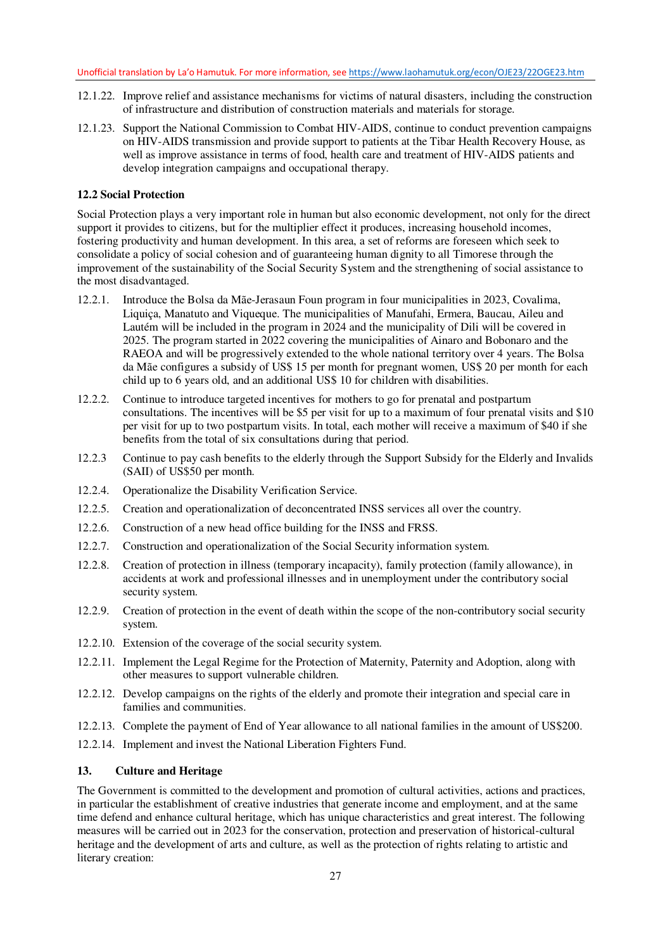- 12.1.22. Improve relief and assistance mechanisms for victims of natural disasters, including the construction of infrastructure and distribution of construction materials and materials for storage.
- 12.1.23. Support the National Commission to Combat HIV-AIDS, continue to conduct prevention campaigns on HIV-AIDS transmission and provide support to patients at the Tibar Health Recovery House, as well as improve assistance in terms of food, health care and treatment of HIV-AIDS patients and develop integration campaigns and occupational therapy.

## **12.2 Social Protection**

Social Protection plays a very important role in human but also economic development, not only for the direct support it provides to citizens, but for the multiplier effect it produces, increasing household incomes, fostering productivity and human development. In this area, a set of reforms are foreseen which seek to consolidate a policy of social cohesion and of guaranteeing human dignity to all Timorese through the improvement of the sustainability of the Social Security System and the strengthening of social assistance to the most disadvantaged.

- 12.2.1. Introduce the Bolsa da Mãe-Jerasaun Foun program in four municipalities in 2023, Covalima, Liquiça, Manatuto and Viqueque. The municipalities of Manufahi, Ermera, Baucau, Aileu and Lautém will be included in the program in 2024 and the municipality of Dili will be covered in 2025. The program started in 2022 covering the municipalities of Ainaro and Bobonaro and the RAEOA and will be progressively extended to the whole national territory over 4 years. The Bolsa da Mãe configures a subsidy of US\$ 15 per month for pregnant women, US\$ 20 per month for each child up to 6 years old, and an additional US\$ 10 for children with disabilities.
- 12.2.2. Continue to introduce targeted incentives for mothers to go for prenatal and postpartum consultations. The incentives will be \$5 per visit for up to a maximum of four prenatal visits and \$10 per visit for up to two postpartum visits. In total, each mother will receive a maximum of \$40 if she benefits from the total of six consultations during that period.
- 12.2.3 Continue to pay cash benefits to the elderly through the Support Subsidy for the Elderly and Invalids (SAII) of US\$50 per month.
- 12.2.4. Operationalize the Disability Verification Service.
- 12.2.5. Creation and operationalization of deconcentrated INSS services all over the country.
- 12.2.6. Construction of a new head office building for the INSS and FRSS.
- 12.2.7. Construction and operationalization of the Social Security information system.
- 12.2.8. Creation of protection in illness (temporary incapacity), family protection (family allowance), in accidents at work and professional illnesses and in unemployment under the contributory social security system.
- 12.2.9. Creation of protection in the event of death within the scope of the non-contributory social security system.
- 12.2.10. Extension of the coverage of the social security system.
- 12.2.11. Implement the Legal Regime for the Protection of Maternity, Paternity and Adoption, along with other measures to support vulnerable children.
- 12.2.12. Develop campaigns on the rights of the elderly and promote their integration and special care in families and communities.
- 12.2.13. Complete the payment of End of Year allowance to all national families in the amount of US\$200.
- 12.2.14. Implement and invest the National Liberation Fighters Fund.

## **13. Culture and Heritage**

The Government is committed to the development and promotion of cultural activities, actions and practices, in particular the establishment of creative industries that generate income and employment, and at the same time defend and enhance cultural heritage, which has unique characteristics and great interest. The following measures will be carried out in 2023 for the conservation, protection and preservation of historical-cultural heritage and the development of arts and culture, as well as the protection of rights relating to artistic and literary creation: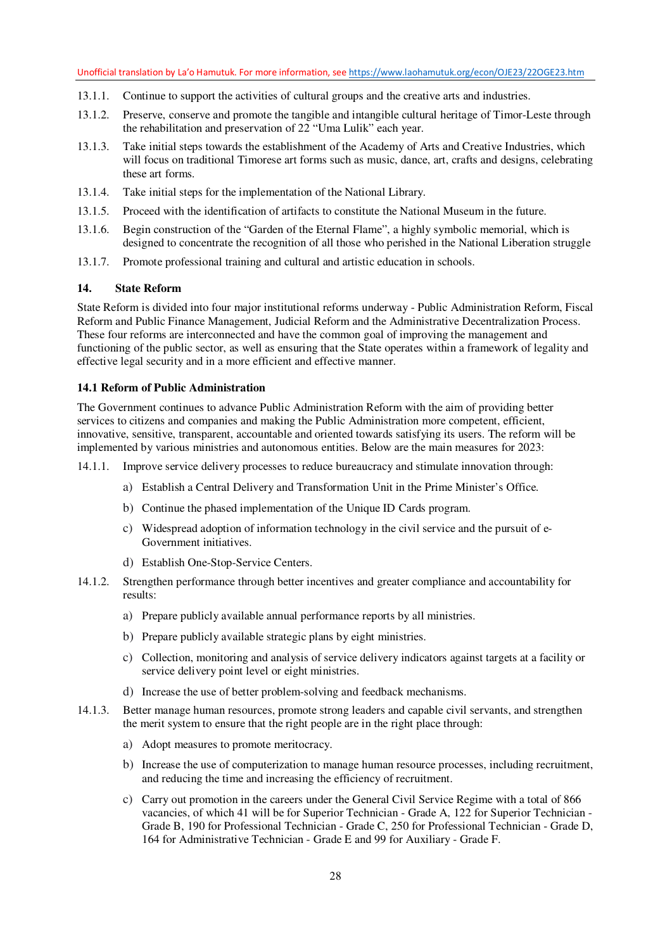- 13.1.1. Continue to support the activities of cultural groups and the creative arts and industries.
- 13.1.2. Preserve, conserve and promote the tangible and intangible cultural heritage of Timor-Leste through the rehabilitation and preservation of 22 "Uma Lulik" each year.
- 13.1.3. Take initial steps towards the establishment of the Academy of Arts and Creative Industries, which will focus on traditional Timorese art forms such as music, dance, art, crafts and designs, celebrating these art forms.
- 13.1.4. Take initial steps for the implementation of the National Library.
- 13.1.5. Proceed with the identification of artifacts to constitute the National Museum in the future.
- 13.1.6. Begin construction of the "Garden of the Eternal Flame", a highly symbolic memorial, which is designed to concentrate the recognition of all those who perished in the National Liberation struggle
- 13.1.7. Promote professional training and cultural and artistic education in schools.

### **14. State Reform**

State Reform is divided into four major institutional reforms underway - Public Administration Reform, Fiscal Reform and Public Finance Management, Judicial Reform and the Administrative Decentralization Process. These four reforms are interconnected and have the common goal of improving the management and functioning of the public sector, as well as ensuring that the State operates within a framework of legality and effective legal security and in a more efficient and effective manner.

#### **14.1 Reform of Public Administration**

The Government continues to advance Public Administration Reform with the aim of providing better services to citizens and companies and making the Public Administration more competent, efficient, innovative, sensitive, transparent, accountable and oriented towards satisfying its users. The reform will be implemented by various ministries and autonomous entities. Below are the main measures for 2023:

14.1.1. Improve service delivery processes to reduce bureaucracy and stimulate innovation through:

- a) Establish a Central Delivery and Transformation Unit in the Prime Minister's Office.
- b) Continue the phased implementation of the Unique ID Cards program.
- c) Widespread adoption of information technology in the civil service and the pursuit of e-Government initiatives.
- d) Establish One-Stop-Service Centers.
- 14.1.2. Strengthen performance through better incentives and greater compliance and accountability for results:
	- a) Prepare publicly available annual performance reports by all ministries.
	- b) Prepare publicly available strategic plans by eight ministries.
	- c) Collection, monitoring and analysis of service delivery indicators against targets at a facility or service delivery point level or eight ministries.
	- d) Increase the use of better problem-solving and feedback mechanisms.
- 14.1.3. Better manage human resources, promote strong leaders and capable civil servants, and strengthen the merit system to ensure that the right people are in the right place through:
	- a) Adopt measures to promote meritocracy.
	- b) Increase the use of computerization to manage human resource processes, including recruitment, and reducing the time and increasing the efficiency of recruitment.
	- c) Carry out promotion in the careers under the General Civil Service Regime with a total of 866 vacancies, of which 41 will be for Superior Technician - Grade A, 122 for Superior Technician - Grade B, 190 for Professional Technician - Grade C, 250 for Professional Technician - Grade D, 164 for Administrative Technician - Grade E and 99 for Auxiliary - Grade F.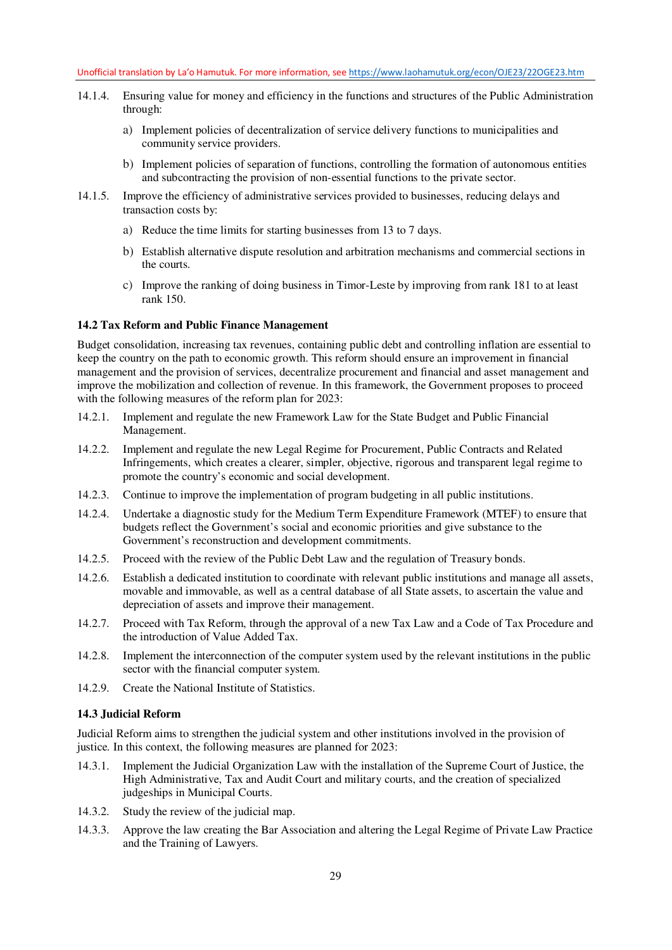- 14.1.4. Ensuring value for money and efficiency in the functions and structures of the Public Administration through:
	- a) Implement policies of decentralization of service delivery functions to municipalities and community service providers.
	- b) Implement policies of separation of functions, controlling the formation of autonomous entities and subcontracting the provision of non-essential functions to the private sector.
- 14.1.5. Improve the efficiency of administrative services provided to businesses, reducing delays and transaction costs by:
	- a) Reduce the time limits for starting businesses from 13 to 7 days.
	- b) Establish alternative dispute resolution and arbitration mechanisms and commercial sections in the courts.
	- c) Improve the ranking of doing business in Timor-Leste by improving from rank 181 to at least rank 150.

#### **14.2 Tax Reform and Public Finance Management**

Budget consolidation, increasing tax revenues, containing public debt and controlling inflation are essential to keep the country on the path to economic growth. This reform should ensure an improvement in financial management and the provision of services, decentralize procurement and financial and asset management and improve the mobilization and collection of revenue. In this framework, the Government proposes to proceed with the following measures of the reform plan for 2023:

- 14.2.1. Implement and regulate the new Framework Law for the State Budget and Public Financial Management.
- 14.2.2. Implement and regulate the new Legal Regime for Procurement, Public Contracts and Related Infringements, which creates a clearer, simpler, objective, rigorous and transparent legal regime to promote the country's economic and social development.
- 14.2.3. Continue to improve the implementation of program budgeting in all public institutions.
- 14.2.4. Undertake a diagnostic study for the Medium Term Expenditure Framework (MTEF) to ensure that budgets reflect the Government's social and economic priorities and give substance to the Government's reconstruction and development commitments.
- 14.2.5. Proceed with the review of the Public Debt Law and the regulation of Treasury bonds.
- 14.2.6. Establish a dedicated institution to coordinate with relevant public institutions and manage all assets, movable and immovable, as well as a central database of all State assets, to ascertain the value and depreciation of assets and improve their management.
- 14.2.7. Proceed with Tax Reform, through the approval of a new Tax Law and a Code of Tax Procedure and the introduction of Value Added Tax.
- 14.2.8. Implement the interconnection of the computer system used by the relevant institutions in the public sector with the financial computer system.
- 14.2.9. Create the National Institute of Statistics.

#### **14.3 Judicial Reform**

Judicial Reform aims to strengthen the judicial system and other institutions involved in the provision of justice. In this context, the following measures are planned for 2023:

- 14.3.1. Implement the Judicial Organization Law with the installation of the Supreme Court of Justice, the High Administrative, Tax and Audit Court and military courts, and the creation of specialized judgeships in Municipal Courts.
- 14.3.2. Study the review of the judicial map.
- 14.3.3. Approve the law creating the Bar Association and altering the Legal Regime of Private Law Practice and the Training of Lawyers.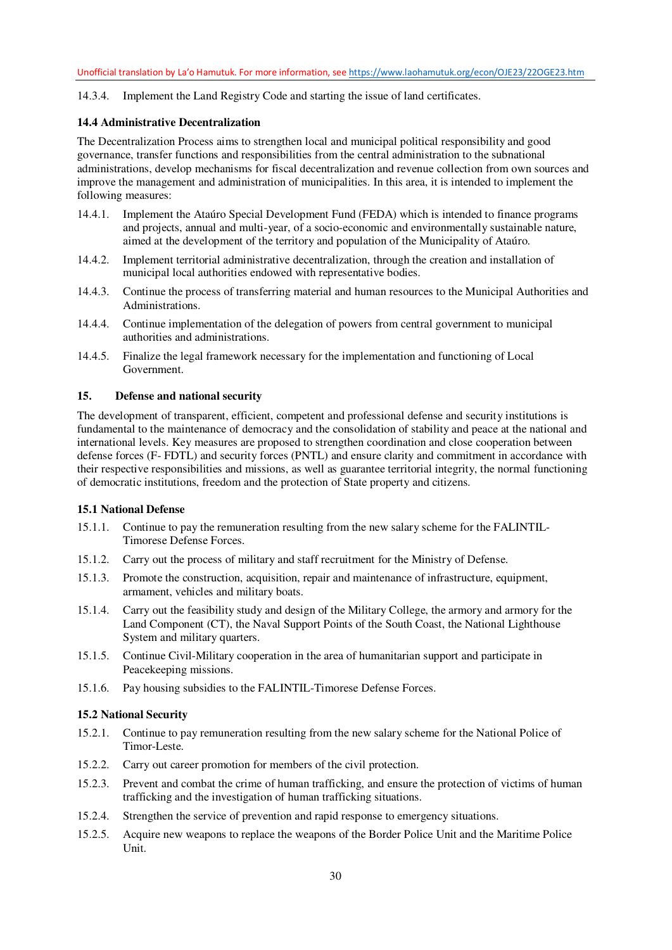14.3.4. Implement the Land Registry Code and starting the issue of land certificates.

### **14.4 Administrative Decentralization**

The Decentralization Process aims to strengthen local and municipal political responsibility and good governance, transfer functions and responsibilities from the central administration to the subnational administrations, develop mechanisms for fiscal decentralization and revenue collection from own sources and improve the management and administration of municipalities. In this area, it is intended to implement the following measures:

- 14.4.1. Implement the Ataúro Special Development Fund (FEDA) which is intended to finance programs and projects, annual and multi-year, of a socio-economic and environmentally sustainable nature, aimed at the development of the territory and population of the Municipality of Ataúro.
- 14.4.2. Implement territorial administrative decentralization, through the creation and installation of municipal local authorities endowed with representative bodies.
- 14.4.3. Continue the process of transferring material and human resources to the Municipal Authorities and Administrations.
- 14.4.4. Continue implementation of the delegation of powers from central government to municipal authorities and administrations.
- 14.4.5. Finalize the legal framework necessary for the implementation and functioning of Local Government.

#### **15. Defense and national security**

The development of transparent, efficient, competent and professional defense and security institutions is fundamental to the maintenance of democracy and the consolidation of stability and peace at the national and international levels. Key measures are proposed to strengthen coordination and close cooperation between defense forces (F- FDTL) and security forces (PNTL) and ensure clarity and commitment in accordance with their respective responsibilities and missions, as well as guarantee territorial integrity, the normal functioning of democratic institutions, freedom and the protection of State property and citizens.

#### **15.1 National Defense**

- 15.1.1. Continue to pay the remuneration resulting from the new salary scheme for the FALINTIL-Timorese Defense Forces.
- 15.1.2. Carry out the process of military and staff recruitment for the Ministry of Defense.
- 15.1.3. Promote the construction, acquisition, repair and maintenance of infrastructure, equipment, armament, vehicles and military boats.
- 15.1.4. Carry out the feasibility study and design of the Military College, the armory and armory for the Land Component (CT), the Naval Support Points of the South Coast, the National Lighthouse System and military quarters.
- 15.1.5. Continue Civil-Military cooperation in the area of humanitarian support and participate in Peacekeeping missions.
- 15.1.6. Pay housing subsidies to the FALINTIL-Timorese Defense Forces.

#### **15.2 National Security**

- 15.2.1. Continue to pay remuneration resulting from the new salary scheme for the National Police of Timor-Leste.
- 15.2.2. Carry out career promotion for members of the civil protection.
- 15.2.3. Prevent and combat the crime of human trafficking, and ensure the protection of victims of human trafficking and the investigation of human trafficking situations.
- 15.2.4. Strengthen the service of prevention and rapid response to emergency situations.
- 15.2.5. Acquire new weapons to replace the weapons of the Border Police Unit and the Maritime Police Unit.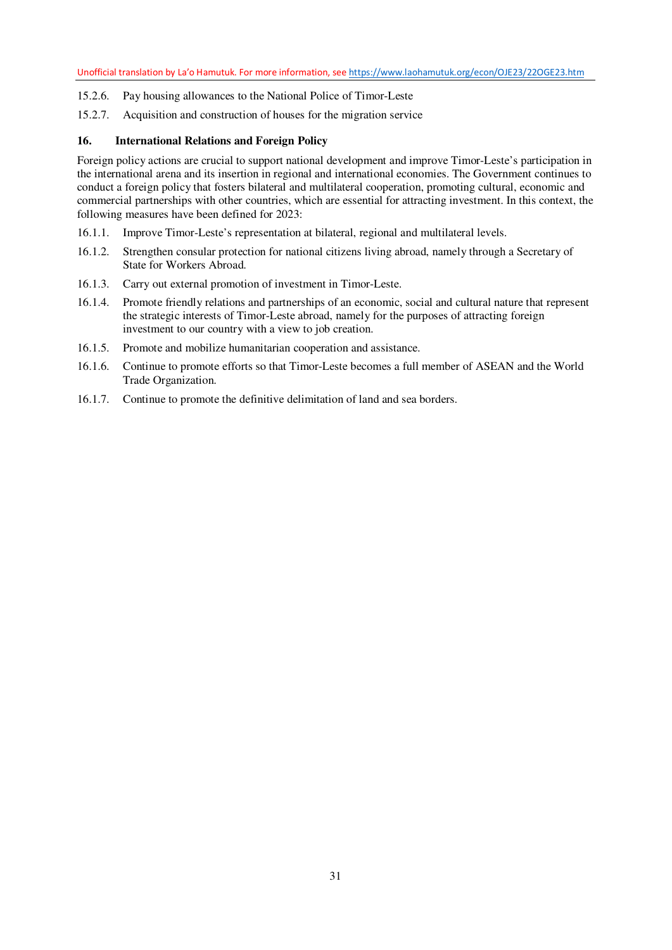- 15.2.6. Pay housing allowances to the National Police of Timor-Leste
- 15.2.7. Acquisition and construction of houses for the migration service

### **16. International Relations and Foreign Policy**

Foreign policy actions are crucial to support national development and improve Timor-Leste's participation in the international arena and its insertion in regional and international economies. The Government continues to conduct a foreign policy that fosters bilateral and multilateral cooperation, promoting cultural, economic and commercial partnerships with other countries, which are essential for attracting investment. In this context, the following measures have been defined for 2023:

- 16.1.1. Improve Timor-Leste's representation at bilateral, regional and multilateral levels.
- 16.1.2. Strengthen consular protection for national citizens living abroad, namely through a Secretary of State for Workers Abroad.
- 16.1.3. Carry out external promotion of investment in Timor-Leste.
- 16.1.4. Promote friendly relations and partnerships of an economic, social and cultural nature that represent the strategic interests of Timor-Leste abroad, namely for the purposes of attracting foreign investment to our country with a view to job creation.
- 16.1.5. Promote and mobilize humanitarian cooperation and assistance.
- 16.1.6. Continue to promote efforts so that Timor-Leste becomes a full member of ASEAN and the World Trade Organization.
- 16.1.7. Continue to promote the definitive delimitation of land and sea borders.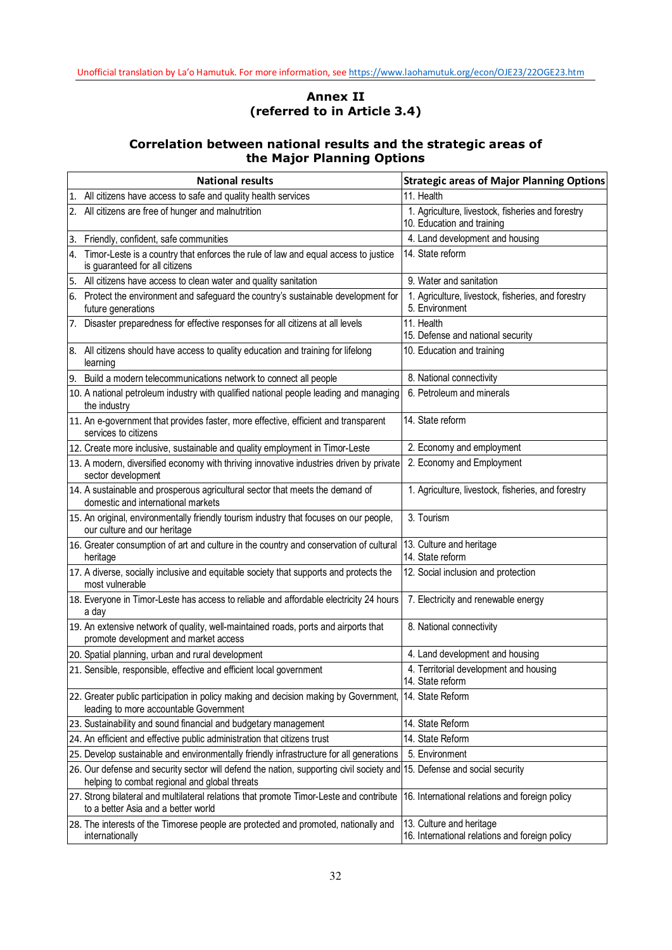# **Annex II (referred to in Article 3.4)**

# **Correlation between national results and the strategic areas of the Major Planning Options**

|    | <b>National results</b>                                                                                                                   | <b>Strategic areas of Major Planning Options</b>                                |  |  |  |
|----|-------------------------------------------------------------------------------------------------------------------------------------------|---------------------------------------------------------------------------------|--|--|--|
|    | 1. All citizens have access to safe and quality health services                                                                           | 11. Health                                                                      |  |  |  |
|    | 2. All citizens are free of hunger and malnutrition                                                                                       | 1. Agriculture, livestock, fisheries and forestry<br>10. Education and training |  |  |  |
|    | 3. Friendly, confident, safe communities                                                                                                  | 4. Land development and housing                                                 |  |  |  |
| 4. | Timor-Leste is a country that enforces the rule of law and equal access to justice<br>is guaranteed for all citizens                      | 14. State reform                                                                |  |  |  |
|    | 5. All citizens have access to clean water and quality sanitation                                                                         | 9. Water and sanitation                                                         |  |  |  |
|    | 6. Protect the environment and safeguard the country's sustainable development for<br>future generations                                  | 1. Agriculture, livestock, fisheries, and forestry<br>5. Environment            |  |  |  |
|    | 7. Disaster preparedness for effective responses for all citizens at all levels                                                           | 11. Health<br>15. Defense and national security                                 |  |  |  |
|    | 8. All citizens should have access to quality education and training for lifelong<br>learning                                             | 10. Education and training                                                      |  |  |  |
|    | 9. Build a modern telecommunications network to connect all people                                                                        | 8. National connectivity                                                        |  |  |  |
|    | 10. A national petroleum industry with qualified national people leading and managing<br>the industry                                     | 6. Petroleum and minerals                                                       |  |  |  |
|    | 11. An e-government that provides faster, more effective, efficient and transparent<br>services to citizens                               | 14. State reform                                                                |  |  |  |
|    | 12. Create more inclusive, sustainable and quality employment in Timor-Leste                                                              | 2. Economy and employment                                                       |  |  |  |
|    | 13. A modern, diversified economy with thriving innovative industries driven by private<br>sector development                             | 2. Economy and Employment                                                       |  |  |  |
|    | 14. A sustainable and prosperous agricultural sector that meets the demand of<br>domestic and international markets                       | 1. Agriculture, livestock, fisheries, and forestry                              |  |  |  |
|    | 15. An original, environmentally friendly tourism industry that focuses on our people,<br>our culture and our heritage                    | 3. Tourism                                                                      |  |  |  |
|    | 16. Greater consumption of art and culture in the country and conservation of cultural<br>heritage                                        | 13. Culture and heritage<br>14. State reform                                    |  |  |  |
|    | 17. A diverse, socially inclusive and equitable society that supports and protects the<br>most vulnerable                                 | 12. Social inclusion and protection                                             |  |  |  |
|    | 18. Everyone in Timor-Leste has access to reliable and affordable electricity 24 hours<br>a day                                           | 7. Electricity and renewable energy                                             |  |  |  |
|    | 19. An extensive network of quality, well-maintained roads, ports and airports that<br>promote development and market access              | 8. National connectivity                                                        |  |  |  |
|    | 20. Spatial planning, urban and rural development                                                                                         | 4. Land development and housing                                                 |  |  |  |
|    | 21. Sensible, responsible, effective and efficient local government                                                                       | 4. Territorial development and housing<br>14. State reform                      |  |  |  |
|    | 22. Greater public participation in policy making and decision making by Government,<br>leading to more accountable Government            | 14. State Reform                                                                |  |  |  |
|    | 23. Sustainability and sound financial and budgetary management                                                                           | 14. State Reform                                                                |  |  |  |
|    | 24. An efficient and effective public administration that citizens trust                                                                  | 14. State Reform                                                                |  |  |  |
|    | 25. Develop sustainable and environmentally friendly infrastructure for all generations                                                   | 5. Environment                                                                  |  |  |  |
|    | 26. Our defense and security sector will defend the nation, supporting civil society and<br>helping to combat regional and global threats | 15. Defense and social security                                                 |  |  |  |
|    | 27. Strong bilateral and multilateral relations that promote Timor-Leste and contribute<br>to a better Asia and a better world            | 16. International relations and foreign policy                                  |  |  |  |
|    | 28. The interests of the Timorese people are protected and promoted, nationally and<br>internationally                                    | 13. Culture and heritage<br>16. International relations and foreign policy      |  |  |  |